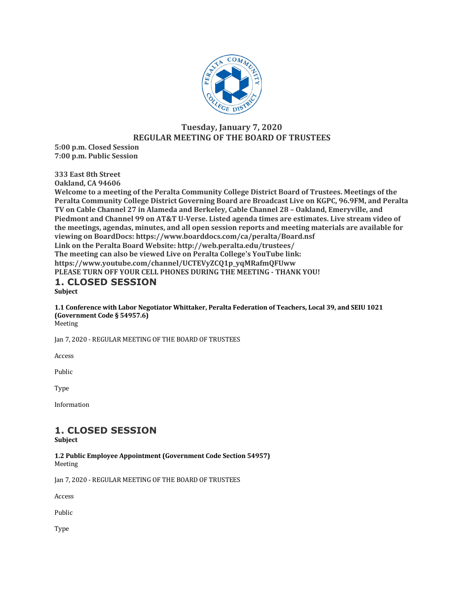

# **Tuesday, January 7, 2020 REGULAR MEETING OF THE BOARD OF TRUSTEES**

**5:00 p.m. Closed Session 7:00 p.m. Public Session**

**333 East 8th Street**

**Oakland, CA 94606** 

Welcome to a meeting of the Peralta Community College District Board of Trustees. Meetings of the Peralta Community College District Governing Board are Broadcast Live on KGPC, 96.9FM, and Peralta **TV** on Cable Channel 27 in Alameda and Berkeley, Cable Channel 28 - Oakland, Emeryville, and Piedmont and Channel 99 on AT&T U-Verse. Listed agenda times are estimates. Live stream video of the meetings, agendas, minutes, and all open session reports and meeting materials are available for viewing on BoardDocs: https://www.boarddocs.com/ca/peralta/Board.nsf Link on the Peralta Board Website: http://web.peralta.edu/trustees/ The meeting can also be viewed Live on Peralta College's YouTube link: **https://www.youtube.com/channel/UCTEVyZCQ1p\_yqMRafmQFUww PLEASE TURN OFF YOUR CELL PHONES DURING THE MEETING - THANK YOU!** 

#### **1. CLOSED SESSION Subject**

**1.1 Conference with Labor Negotiator Whittaker, Peralta Federation of Teachers, Local 39, and SEIU 1021 (Government Code § 54957.6)** Meeting

Jan 7, 2020 - REGULAR MEETING OF THE BOARD OF TRUSTEES

Access

Public

Type

Information

# **1. CLOSED SESSION**

**Subject**

**1.2 Public Employee Appointment (Government Code Section 54957)** Meeting

Jan 7, 2020 - REGULAR MEETING OF THE BOARD OF TRUSTEES

Access

Public

Type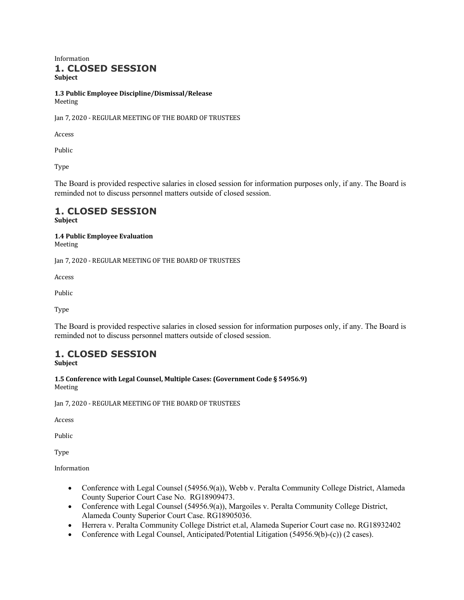Information **1. CLOSED SESSION Subject**

**1.3 Public Employee Discipline/Dismissal/Release** Meeting

Jan 7, 2020 - REGULAR MEETING OF THE BOARD OF TRUSTEES

Access

Public

Type

The Board is provided respective salaries in closed session for information purposes only, if any. The Board is reminded not to discuss personnel matters outside of closed session.

#### **1. CLOSED SESSION Subject**

#### **1.4 Public Employee Evaluation** Meeting

Jan 7, 2020 - REGULAR MEETING OF THE BOARD OF TRUSTEES

Access

Public

Type

The Board is provided respective salaries in closed session for information purposes only, if any. The Board is reminded not to discuss personnel matters outside of closed session.

# **1. CLOSED SESSION**

**Subject**

1.5 Conference with Legal Counsel, Multiple Cases: (Government Code § 54956.9) Meeting

Jan 7, 2020 - REGULAR MEETING OF THE BOARD OF TRUSTEES

Access

Public

Type

Information

- Conference with Legal Counsel (54956.9(a)), Webb v. Peralta Community College District, Alameda County Superior Court Case No. RG18909473.
- Conference with Legal Counsel (54956.9(a)), Margoiles v. Peralta Community College District, Alameda County Superior Court Case. RG18905036.
- Herrera v. Peralta Community College District et.al, Alameda Superior Court case no. RG18932402
- Conference with Legal Counsel, Anticipated/Potential Litigation (54956.9(b)-(c)) (2 cases).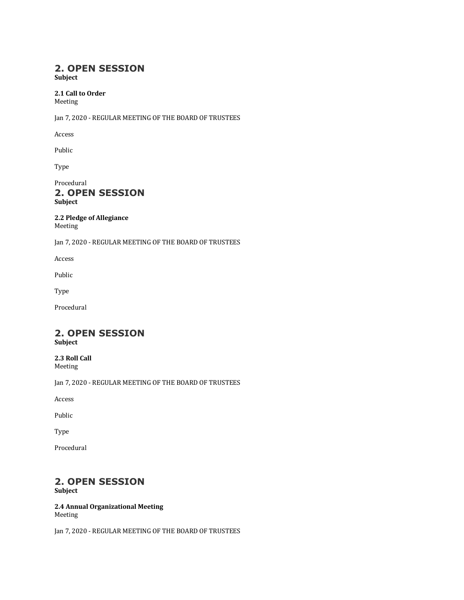# **2. OPEN SESSION**

**Subject**

# 2.1 Call to Order

Meeting

Jan 7, 2020 - REGULAR MEETING OF THE BOARD OF TRUSTEES

Access

Public

Type

Procedural **2. OPEN SESSION Subject**

**2.2 Pledge of Allegiance** Meeting

Jan 7, 2020 - REGULAR MEETING OF THE BOARD OF TRUSTEES

Access

Public

Type

Procedural

# **2. OPEN SESSION**

**Subject**

**2.3 Roll Call** Meeting

Jan 7, 2020 - REGULAR MEETING OF THE BOARD OF TRUSTEES

Access

Public

Type

Procedural

# **2. OPEN SESSION**

**Subject**

**2.4 Annual Organizational Meeting** Meeting

Jan 7, 2020 - REGULAR MEETING OF THE BOARD OF TRUSTEES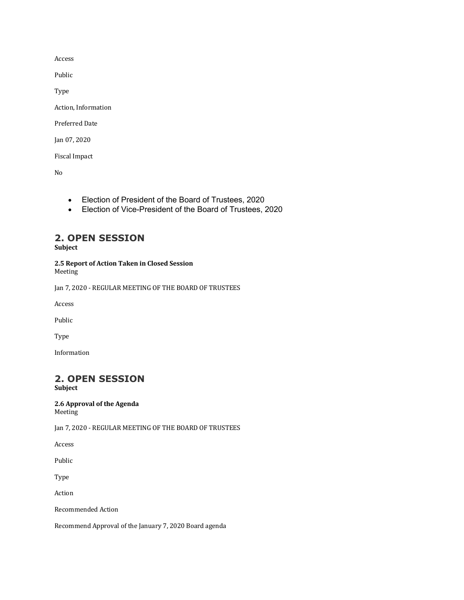Access

Public

Type

Action, Information

Preferred Date

Jan 07, 2020

Fiscal Impact

No

- Election of President of the Board of Trustees, 2020
- Election of Vice-President of the Board of Trustees, 2020

# **2. OPEN SESSION**

**Subject**

**2.5 Report of Action Taken in Closed Session** Meeting

Jan 7, 2020 - REGULAR MEETING OF THE BOARD OF TRUSTEES

Access

Public

Type

Information

# **2. OPEN SESSION**

**Subject**

#### **2.6 Approval of the Agenda** Meeting

Jan 7, 2020 - REGULAR MEETING OF THE BOARD OF TRUSTEES

Access

Public

Type

Action

Recommended Action

Recommend Approval of the January 7, 2020 Board agenda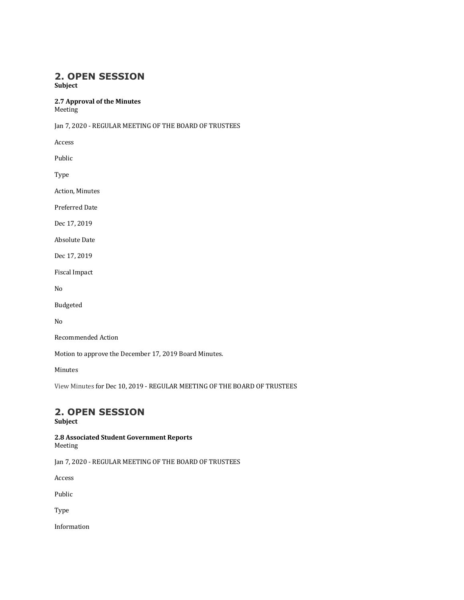# **2. OPEN SESSION**

**Subject**

**2.7 Approval of the Minutes**

Meeting

Jan 7, 2020 - REGULAR MEETING OF THE BOARD OF TRUSTEES

Access

Public

Type

**Action, Minutes** 

Preferred Date

Dec 17, 2019

**Absolute Date** 

Dec 17, 2019

Fiscal Impact

No

Budgeted

No

Recommended Action

Motion to approve the December 17, 2019 Board Minutes.

Minutes

View Minutes for Dec 10, 2019 - REGULAR MEETING OF THE BOARD OF TRUSTEES

# **2. OPEN SESSION**

# **Subject**

**2.8 Associated Student Government Reports** Meeting

Jan 7, 2020 - REGULAR MEETING OF THE BOARD OF TRUSTEES

Access

Public

Type

Information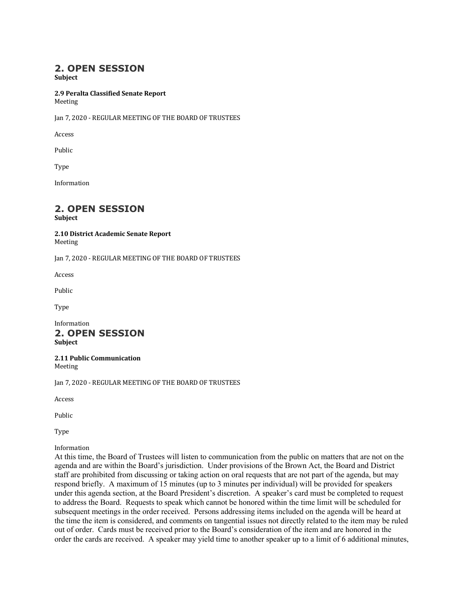# **2. OPEN SESSION**

**Subject**

#### **2.9 Peralta Classified Senate Report** Meeting

Jan 7, 2020 - REGULAR MEETING OF THE BOARD OF TRUSTEES

Access

Public

Type

Information

# **2. OPEN SESSION**

**Subject**

#### **2.10 District Academic Senate Report** Meeting

Jan 7, 2020 - REGULAR MEETING OF THE BOARD OF TRUSTEES

Access

Public

Type

Information **2. OPEN SESSION**

**Subject**

**2.11 Public Communication** Meeting

Jan 7, 2020 - REGULAR MEETING OF THE BOARD OF TRUSTEES

Access

Public

Type

Information

At this time, the Board of Trustees will listen to communication from the public on matters that are not on the agenda and are within the Board's jurisdiction. Under provisions of the Brown Act, the Board and District staff are prohibited from discussing or taking action on oral requests that are not part of the agenda, but may respond briefly. A maximum of 15 minutes (up to 3 minutes per individual) will be provided for speakers under this agenda section, at the Board President's discretion. A speaker's card must be completed to request to address the Board. Requests to speak which cannot be honored within the time limit will be scheduled for subsequent meetings in the order received. Persons addressing items included on the agenda will be heard at the time the item is considered, and comments on tangential issues not directly related to the item may be ruled out of order. Cards must be received prior to the Board's consideration of the item and are honored in the order the cards are received. A speaker may yield time to another speaker up to a limit of 6 additional minutes,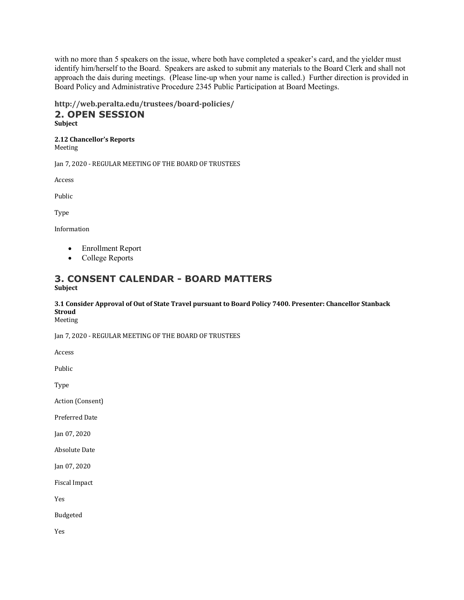with no more than 5 speakers on the issue, where both have completed a speaker's card, and the yielder must identify him/herself to the Board. Speakers are asked to submit any materials to the Board Clerk and shall not approach the dais during meetings. (Please line-up when your name is called.) Further direction is provided in Board Policy and Administrative Procedure 2345 Public Participation at Board Meetings.

#### **http://web.peralta.edu/trustees/board-policies/ 2. OPEN SESSION Subject**

#### **2.12 Chancellor's Reports** Meeting

Jan 7, 2020 - REGULAR MEETING OF THE BOARD OF TRUSTEES

Access

Public

Type

Information

- Enrollment Report
- College Reports

# **3. CONSENT CALENDAR - BOARD MATTERS Subject**

#### **3.1 Consider Approval of Out of State Travel pursuant to Board Policy 7400. Presenter: Chancellor Stanback Stroud** Meeting

Jan 7, 2020 - REGULAR MEETING OF THE BOARD OF TRUSTEES

Access

Public

Type

Action (Consent)

Preferred Date

Jan 07, 2020

**Absolute Date** 

Jan 07, 2020

Fiscal Impact

Yes

Budgeted

Yes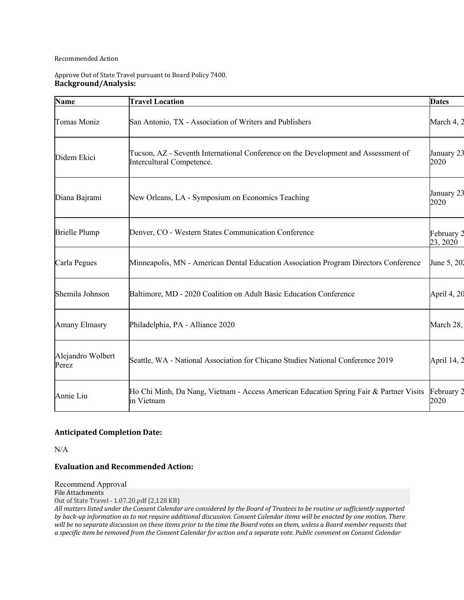#### Recommended Action

#### Approve Out of State Travel pursuant to Board Policy 7400. **Background/Analysis:**

| <b>Name</b>                | <b>Travel Location</b>                                                                                          | <b>Dates</b>           |
|----------------------------|-----------------------------------------------------------------------------------------------------------------|------------------------|
| Tomas Moniz                | San Antonio, TX - Association of Writers and Publishers                                                         | March 4, 2             |
| Didem Ekici                | Tucson, AZ - Seventh International Conference on the Development and Assessment of<br>Intercultural Competence. | January 23<br>2020     |
| Diana Bajrami              | New Orleans, LA - Symposium on Economics Teaching                                                               | January 23<br>2020     |
| <b>Brielle Plump</b>       | Denver, CO - Western States Communication Conference                                                            | February 2<br>23, 2020 |
| Carla Pegues               | Minneapolis, MN - American Dental Education Association Program Directors Conference                            | June 5, 202            |
| Shemila Johnson            | Baltimore, MD - 2020 Coalition on Adult Basic Education Conference                                              | April 4, 20            |
| Amany Elmasry              | Philadelphia, PA - Alliance 2020                                                                                | March 28,              |
| Alejandro Wolbert<br>Perez | Seattle, WA - National Association for Chicano Studies National Conference 2019                                 | April 14, 2            |
| Annie Liu                  | Ho Chi Minh, Da Nang, Vietnam - Access American Education Spring Fair & Partner Visits<br>in Vietnam            | February 2<br>2020     |

#### **Anticipated Completion Date:**

N/A

#### **Evaluation and Recommended Action:**

Recommend Approval

File Attachments Out of State Travel - 1.07.20.pdf (2,128 KB)

All matters listed under the Consent Calendar are considered by the Board of Trustees to be routine or sufficiently supported by back-up information as to not require additional discussion. Consent Calendar items will be enacted by one motion. There will be no separate discussion on these items prior to the time the Board votes on them, unless a Board member requests that *a* specific item be removed from the Consent Calendar for action and a separate vote. Public comment on Consent Calendar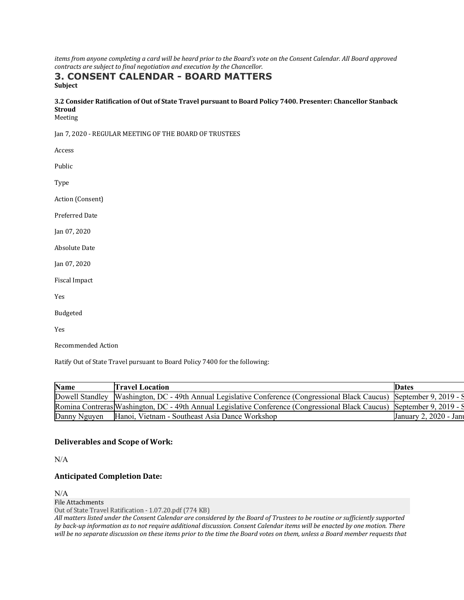*items from anyone completing a card will be heard prior to the Board's vote on the Consent Calendar. All Board approved contracts are subject to final negotiation and execution by the Chancellor.* 

# **3. CONSENT CALENDAR - BOARD MATTERS Subject**

# **3.2 Consider Ratification of Out of State Travel pursuant to Board Policy 7400. Presenter: Chancellor Stanback Stroud**

Meeting

Jan 7, 2020 - REGULAR MEETING OF THE BOARD OF TRUSTEES

| Access               |
|----------------------|
| Public               |
| Type                 |
| Action (Consent)     |
| Preferred Date       |
| Jan 07, 2020         |
| <b>Absolute Date</b> |
| Jan 07, 2020         |
| Fiscal Impact        |
| Yes                  |
| <b>Budgeted</b>      |
| Yes                  |
| Recommended Action   |

Ratify Out of State Travel pursuant to Board Policy 7400 for the following:

| <b>Name</b>  | Travel Location                                                                                                         | <b>Dates</b>              |
|--------------|-------------------------------------------------------------------------------------------------------------------------|---------------------------|
|              | Dowell Standley Washington, DC - 49th Annual Legislative Conference (Congressional Black Caucus) September 9, 2019 - S  |                           |
|              | Romina Contreras Washington, DC - 49th Annual Legislative Conference (Congressional Black Caucus) September 9, 2019 - S |                           |
| Danny Nguyen | Hanoi, Vietnam - Southeast Asia Dance Workshop                                                                          | January 2, 2020 - January |

#### **Deliverables and Scope of Work:**

N/A

#### **Anticipated Completion Date:**

N/A

File Attachments

Out of State Travel Ratification - 1.07.20.pdf (774 KB)

All matters listed under the Consent Calendar are considered by the Board of Trustees to be routine or sufficiently supported *by* back-up information as to not require additional discussion. Consent Calendar items will be enacted by one motion. There will be no separate discussion on these items prior to the time the Board votes on them, unless a Board member requests that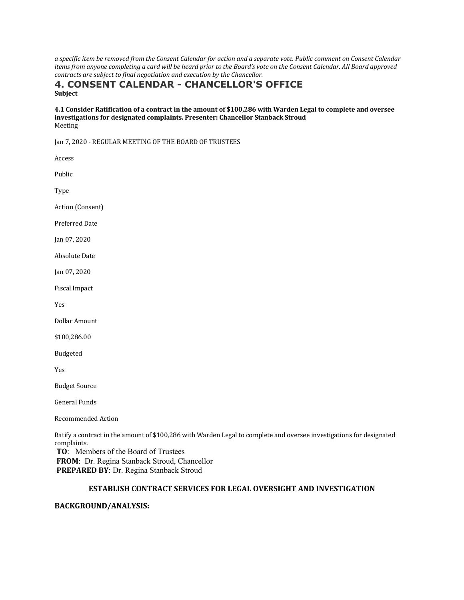*a specific item be removed from the Consent Calendar for action and a separate vote. Public comment on Consent Calendar items from anyone completing a card will be heard prior to the Board's vote on the Consent Calendar. All Board approved contracts are subject to final negotiation and execution by the Chancellor.* 

#### **4. CONSENT CALENDAR - CHANCELLOR'S OFFICE Subject**

#### **4.1 Consider Ratification of a contract in the amount of \$100,286 with Warden Legal to complete and oversee**  investigations for designated complaints. Presenter: Chancellor Stanback Stroud Meeting

Jan 7, 2020 - REGULAR MEETING OF THE BOARD OF TRUSTEES

| Access                                                                                                                              |
|-------------------------------------------------------------------------------------------------------------------------------------|
| Public                                                                                                                              |
| Type                                                                                                                                |
| Action (Consent)                                                                                                                    |
| Preferred Date                                                                                                                      |
| Jan 07, 2020                                                                                                                        |
| Absolute Date                                                                                                                       |
| Jan 07, 2020                                                                                                                        |
| Fiscal Impact                                                                                                                       |
| Yes                                                                                                                                 |
| Dollar Amount                                                                                                                       |
| \$100,286.00                                                                                                                        |
| Budgeted                                                                                                                            |
| Yes                                                                                                                                 |
| <b>Budget Source</b>                                                                                                                |
| <b>General Funds</b>                                                                                                                |
| Recommended Action                                                                                                                  |
| Ratify a contract in the amount of \$100,286 with Warden Legal to complete and oversee investigations for designated<br>complaints. |

co **TO**: Members of the Board of Trustees **FROM**: Dr. Regina Stanback Stroud, Chancellor **PREPARED BY**: Dr. Regina Stanback Stroud

#### **ESTABLISH CONTRACT SERVICES FOR LEGAL OVERSIGHT AND INVESTIGATION**

#### **BACKGROUND/ANALYSIS:**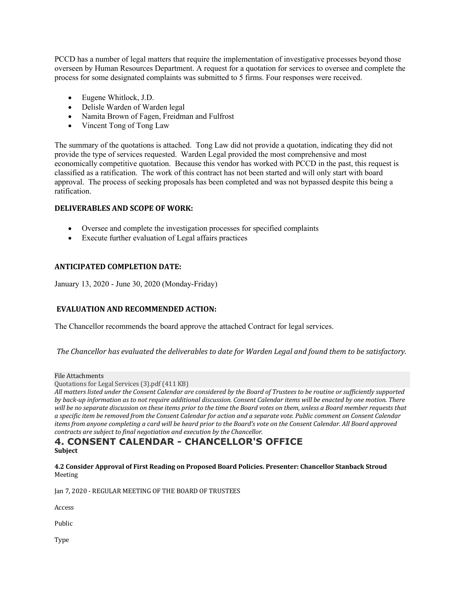PCCD has a number of legal matters that require the implementation of investigative processes beyond those overseen by Human Resources Department. A request for a quotation for services to oversee and complete the process for some designated complaints was submitted to 5 firms. Four responses were received.

- Eugene Whitlock, J.D.
- Delisle Warden of Warden legal
- Namita Brown of Fagen, Freidman and Fulfrost
- Vincent Tong of Tong Law

The summary of the quotations is attached. Tong Law did not provide a quotation, indicating they did not provide the type of services requested. Warden Legal provided the most comprehensive and most economically competitive quotation. Because this vendor has worked with PCCD in the past, this request is classified as a ratification. The work of this contract has not been started and will only start with board approval. The process of seeking proposals has been completed and was not bypassed despite this being a ratification.

# **DELIVERABLES AND SCOPE OF WORK:**

- Oversee and complete the investigation processes for specified complaints
- Execute further evaluation of Legal affairs practices

# **ANTICIPATED COMPLETION DATE:**

January 13, 2020 - June 30, 2020 (Monday-Friday)

# **EVALUATION AND RECOMMENDED ACTION:**

The Chancellor recommends the board approve the attached Contract for legal services.

*The Chancellor has evaluated the deliverables to date for Warden Legal and found them to be satisfactory.*

#### File Attachments

Quotations for Legal Services (3).pdf (411 KB)

All matters listed under the Consent Calendar are considered by the Board of Trustees to be routine or sufficiently supported by back-up information as to not require additional discussion. Consent Calendar items will be enacted by one motion. There will be no separate discussion on these items prior to the time the Board votes on them, unless a Board member requests that *a* specific item be removed from the Consent Calendar for action and a separate vote. Public comment on Consent Calendar *items* from anyone completing a card will be heard prior to the Board's vote on the Consent Calendar. All Board approved *contracts are subject to final negotiation and execution by the Chancellor.* 

# **4. CONSENT CALENDAR - CHANCELLOR'S OFFICE Subject**

**4.2 Consider Approval of First Reading on Proposed Board Policies. Presenter: Chancellor Stanback Stroud** Meeting

Jan 7, 2020 - REGULAR MEETING OF THE BOARD OF TRUSTEES

Access

Public

Type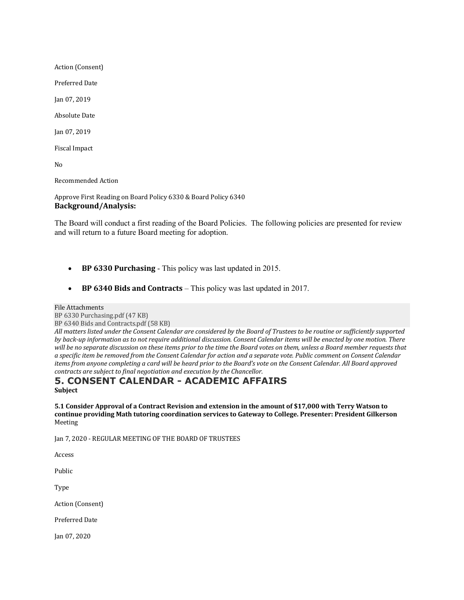Action (Consent)

Preferred Date

Jan 07, 2019

**Absolute Date** 

Jan 07, 2019

Fiscal Impact

No

Recommended Action

Approve First Reading on Board Policy 6330 & Board Policy 6340 **Background/Analysis:**

The Board will conduct a first reading of the Board Policies. The following policies are presented for review and will return to a future Board meeting for adoption.

- **BP 6330 Purchasing** This policy was last updated in 2015.
- **BP 6340 Bids and Contracts** This policy was last updated in 2017.

#### File Attachments

BP 6330 Purchasing.pdf (47 KB)

BP 6340 Bids and Contracts.pdf (58 KB)

All matters listed under the Consent Calendar are considered by the Board of Trustees to be routine or sufficiently supported *by* back-up information as to not require additional discussion. Consent Calendar items will be enacted by one motion. There will be no separate discussion on these items prior to the time the Board votes on them, unless a Board member requests that *a specific item be removed from the Consent Calendar for action and a separate vote. Public comment on Consent Calendar items from anyone completing a card will be heard prior to the Board's vote on the Consent Calendar. All Board approved contracts are subject to final negotiation and execution by the Chancellor.* 

#### **5. CONSENT CALENDAR - ACADEMIC AFFAIRS Subject**

**5.1** Consider Approval of a Contract Revision and extension in the amount of \$17,000 with Terry Watson to continue providing Math tutoring coordination services to Gateway to College. Presenter: President Gilkerson Meeting

Jan 7, 2020 - REGULAR MEETING OF THE BOARD OF TRUSTEES

Access

Public

Type

Action (Consent)

Preferred Date

Jan 07, 2020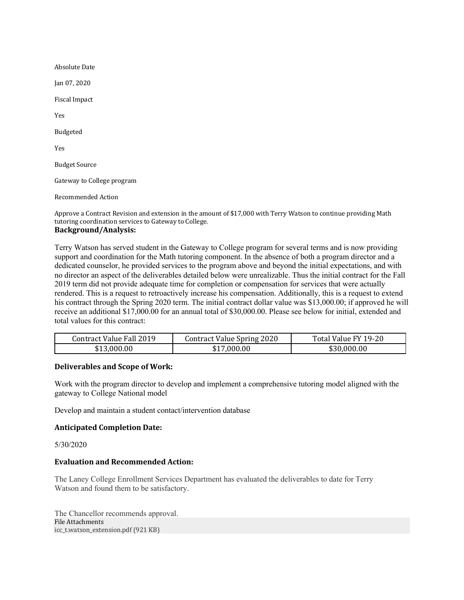**Absolute Date** Jan 07, 2020 Fiscal Impact Yes Budgeted Yes **Budget Source** Gateway to College program Recommended Action

Approve a Contract Revision and extension in the amount of \$17,000 with Terry Watson to continue providing Math tutoring coordination services to Gateway to College. **Background/Analysis:**

# Terry Watson has served student in the Gateway to College program for several terms and is now providing

support and coordination for the Math tutoring component. In the absence of both a program director and a dedicated counselor, he provided services to the program above and beyond the initial expectations, and with no director an aspect of the deliverables detailed below were unrealizable. Thus the initial contract for the Fall 2019 term did not provide adequate time for completion or compensation for services that were actually rendered. This is a request to retroactively increase his compensation. Additionally, this is a request to extend his contract through the Spring 2020 term. The initial contract dollar value was \$13,000.00; if approved he will receive an additional \$17,000.00 for an annual total of \$30,000.00. Please see below for initial, extended and total values for this contract:

| <b>Contract Value Fall 2019</b> | <b>Contract Value Spring 2020</b> | Total Value FY 19-20 |
|---------------------------------|-----------------------------------|----------------------|
| \$13,000.00                     | 000.00<br>\$17                    | \$30.000.00          |

# **Deliverables and Scope of Work:**

Work with the program director to develop and implement a comprehensive tutoring model aligned with the gateway to College National model

Develop and maintain a student contact/intervention database

# **Anticipated Completion Date:**

5/30/2020

# **Evaluation and Recommended Action:**

The Laney College Enrollment Services Department has evaluated the deliverables to date for Terry Watson and found them to be satisfactory.

The Chancellor recommends approval. File Attachments icc\_t.watson\_extension.pdf (921 KB)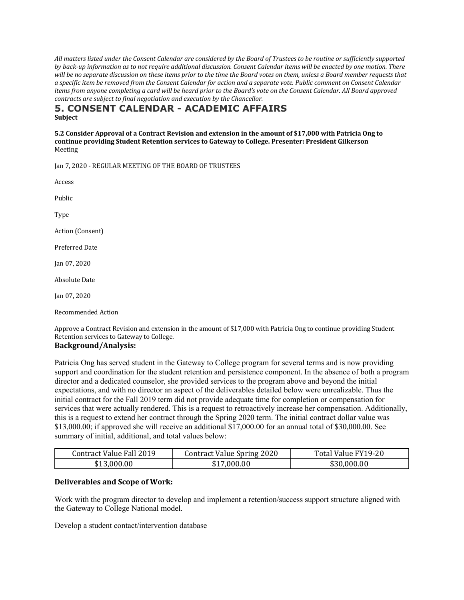All matters listed under the Consent Calendar are considered by the Board of Trustees to be routine or sufficiently supported *by* back-up information as to not require additional discussion. Consent Calendar items will be enacted by one motion. There will be no separate discussion on these items prior to the time the Board votes on them, unless a Board member requests that *a specific item be removed from the Consent Calendar for action and a separate vote. Public comment on Consent Calendar items from anyone completing a card will be heard prior to the Board's vote on the Consent Calendar. All Board approved contracts are subject to final negotiation and execution by the Chancellor.* 

# **5. CONSENT CALENDAR - ACADEMIC AFFAIRS Subject**

**5.2 Consider Approval of a Contract Revision and extension in the amount of \$17,000 with Patricia Ong to** continue providing Student Retention services to Gateway to College. Presenter: President Gilkerson Meeting

Jan 7, 2020 - REGULAR MEETING OF THE BOARD OF TRUSTEES

Access Public Type Action (Consent) Preferred Date Jan 07, 2020 **Absolute Date** Jan 07, 2020

Recommended Action

Approve a Contract Revision and extension in the amount of \$17,000 with Patricia Ong to continue providing Student Retention services to Gateway to College.

#### **Background/Analysis:**

Patricia Ong has served student in the Gateway to College program for several terms and is now providing support and coordination for the student retention and persistence component. In the absence of both a program director and a dedicated counselor, she provided services to the program above and beyond the initial expectations, and with no director an aspect of the deliverables detailed below were unrealizable. Thus the initial contract for the Fall 2019 term did not provide adequate time for completion or compensation for services that were actually rendered. This is a request to retroactively increase her compensation. Additionally, this is a request to extend her contract through the Spring 2020 term. The initial contract dollar value was \$13,000.00; if approved she will receive an additional \$17,000.00 for an annual total of \$30,000.00. See summary of initial, additional, and total values below:

| Contract Value Fall 2019 | <b>Contract Value Spring 2020</b> | Total Value FY19-20 |
|--------------------------|-----------------------------------|---------------------|
| \$13,000.00              | \$17,000.00                       | \$30,000.00         |

# **Deliverables and Scope of Work:**

Work with the program director to develop and implement a retention/success support structure aligned with the Gateway to College National model.

Develop a student contact/intervention database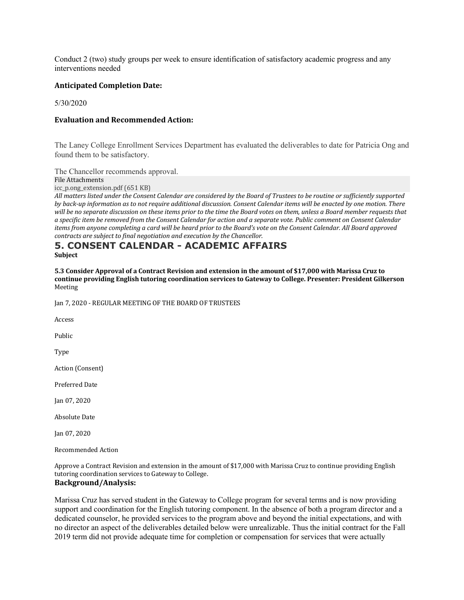Conduct 2 (two) study groups per week to ensure identification of satisfactory academic progress and any interventions needed

#### **Anticipated Completion Date:**

5/30/2020

#### **Evaluation and Recommended Action:**

The Laney College Enrollment Services Department has evaluated the deliverables to date for Patricia Ong and found them to be satisfactory.

The Chancellor recommends approval.

File Attachments

icc\_p.ong\_extension.pdf (651 KB)

All matters listed under the Consent Calendar are considered by the Board of Trustees to be routine or sufficiently supported *by* back-up information as to not require additional discussion. Consent Calendar items will be enacted by one motion. There will be no separate discussion on these items prior to the time the Board votes on them, unless a Board member requests that *a specific item be removed from the Consent Calendar for action and a separate vote. Public comment on Consent Calendar items from anyone completing a card will be heard prior to the Board's vote on the Consent Calendar. All Board approved contracts are subject to final negotiation and execution by the Chancellor.* 

# **5. CONSENT CALENDAR - ACADEMIC AFFAIRS**

**Subject**

**5.3** Consider Approval of a Contract Revision and extension in the amount of \$17,000 with Marissa Cruz to continue providing English tutoring coordination services to Gateway to College. Presenter: President Gilkerson Meeting

Jan 7, 2020 - REGULAR MEETING OF THE BOARD OF TRUSTEES

**Access** 

Public

Type

Action (Consent)

Preferred Date

Jan 07, 2020

Absolute Date

Jan 07, 2020

Recommended Action

Approve a Contract Revision and extension in the amount of \$17,000 with Marissa Cruz to continue providing English tutoring coordination services to Gateway to College.

# **Background/Analysis:**

Marissa Cruz has served student in the Gateway to College program for several terms and is now providing support and coordination for the English tutoring component. In the absence of both a program director and a dedicated counselor, he provided services to the program above and beyond the initial expectations, and with no director an aspect of the deliverables detailed below were unrealizable. Thus the initial contract for the Fall 2019 term did not provide adequate time for completion or compensation for services that were actually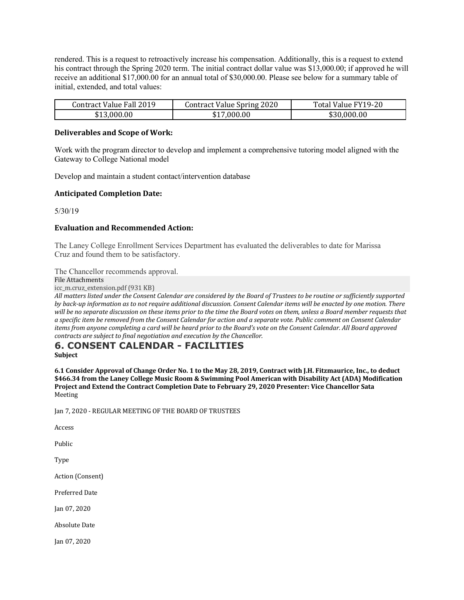rendered. This is a request to retroactively increase his compensation. Additionally, this is a request to extend his contract through the Spring 2020 term. The initial contract dollar value was \$13,000.00; if approved he will receive an additional \$17,000.00 for an annual total of \$30,000.00. Please see below for a summary table of initial, extended, and total values:

| Contract Value Fall 2019 | <b>Contract Value Spring 2020</b> | Total Value FY19-20 |
|--------------------------|-----------------------------------|---------------------|
| \$13,000.00              | \$17,000.00                       | \$30,000.00         |

#### **Deliverables and Scope of Work:**

Work with the program director to develop and implement a comprehensive tutoring model aligned with the Gateway to College National model

Develop and maintain a student contact/intervention database

#### **Anticipated Completion Date:**

5/30/19

#### **Evaluation and Recommended Action:**

The Laney College Enrollment Services Department has evaluated the deliverables to date for Marissa Cruz and found them to be satisfactory.

The Chancellor recommends approval.

File Attachments

icc\_m.cruz\_extension.pdf (931 KB)

All matters listed under the Consent Calendar are considered by the Board of Trustees to be routine or sufficiently supported *by* back-up information as to not require additional discussion. Consent Calendar items will be enacted by one motion. There will be no separate discussion on these items prior to the time the Board votes on them, unless a Board member requests that *a specific item be removed from the Consent Calendar for action and a separate vote. Public comment on Consent Calendar items* from anyone completing a card will be heard prior to the Board's vote on the Consent Calendar. All Board approved *contracts are subject to final negotiation and execution by the Chancellor.* 

# **6. CONSENT CALENDAR - FACILITIES**

**Subject**

6.1 Consider Approval of Change Order No. 1 to the May 28, 2019, Contract with J.H. Fitzmaurice, Inc., to deduct \$466.34 from the Laney College Music Room & Swimming Pool American with Disability Act (ADA) Modification Project and Extend the Contract Completion Date to February 29, 2020 Presenter: Vice Chancellor Sata Meeting

Jan 7, 2020 - REGULAR MEETING OF THE BOARD OF TRUSTEES

Access

Public

Type

Action (Consent)

Preferred Date

Jan 07, 2020

**Absolute Date** 

Jan 07, 2020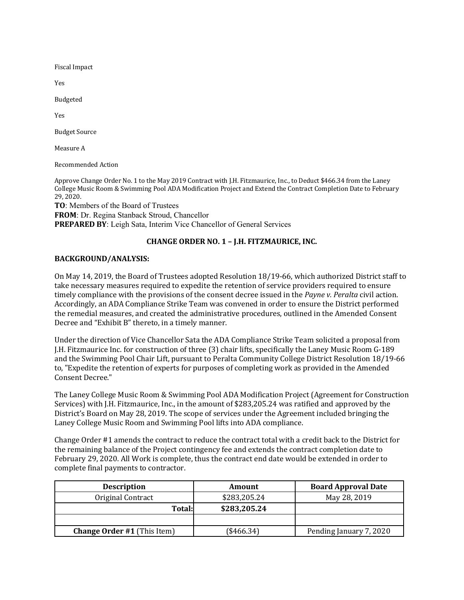Fiscal Impact

Yes

Budgeted

Yes

**Budget Source** 

Measure A

Recommended Action

Approve Change Order No. 1 to the May 2019 Contract with J.H. Fitzmaurice, Inc., to Deduct \$466.34 from the Laney College Music Room & Swimming Pool ADA Modification Project and Extend the Contract Completion Date to February 29, 2020.

**TO**: Members of the Board of Trustees **FROM**: Dr. Regina Stanback Stroud, Chancellor **PREPARED BY**: Leigh Sata, Interim Vice Chancellor of General Services

# **CHANGE ORDER NO. 1 – J.H. FITZMAURICE, INC.**

#### **BACKGROUND/ANALYSIS:**

On May 14, 2019, the Board of Trustees adopted Resolution 18/19-66, which authorized District staff to take necessary measures required to expedite the retention of service providers required to ensure timely compliance with the provisions of the consent decree issued in the *Payne v. Peralta* civil action. Accordingly, an ADA Compliance Strike Team was convened in order to ensure the District performed the remedial measures, and created the administrative procedures, outlined in the Amended Consent Decree and "Exhibit B" thereto, in a timely manner.

Under the direction of Vice Chancellor Sata the ADA Compliance Strike Team solicited a proposal from J.H. Fitzmaurice Inc. for construction of three (3) chair lifts, specifically the Laney Music Room G-189 and the Swimming Pool Chair Lift, pursuant to Peralta Community College District Resolution 18/19-66 to, "Expedite the retention of experts for purposes of completing work as provided in the Amended Consent Decree."

The Laney College Music Room & Swimming Pool ADA Modification Project (Agreement for Construction Services) with J.H. Fitzmaurice, Inc., in the amount of \$283,205.24 was ratified and approved by the District's Board on May 28, 2019. The scope of services under the Agreement included bringing the Laney College Music Room and Swimming Pool lifts into ADA compliance.

Change Order #1 amends the contract to reduce the contract total with a credit back to the District for the remaining balance of the Project contingency fee and extends the contract completion date to February 29, 2020. All Work is complete, thus the contract end date would be extended in order to complete final payments to contractor.

| <b>Description</b>                 | Amount       | <b>Board Approval Date</b> |
|------------------------------------|--------------|----------------------------|
| Original Contract                  | \$283,205.24 | May 28, 2019               |
| <b>Total:</b>                      | \$283,205.24 |                            |
|                                    |              |                            |
| <b>Change Order #1 (This Item)</b> | (\$466.34)   | Pending January 7, 2020    |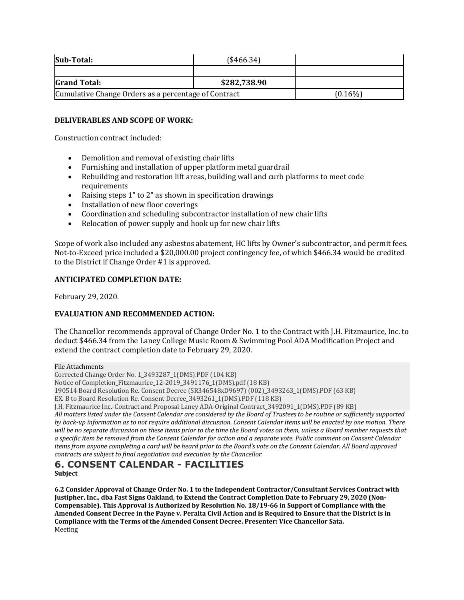| Sub-Total:                                           | (\$466.34)   |            |
|------------------------------------------------------|--------------|------------|
|                                                      |              |            |
| <b>Grand Total:</b>                                  | \$282,738.90 |            |
| Cumulative Change Orders as a percentage of Contract |              | $(0.16\%)$ |

# **DELIVERABLES AND SCOPE OF WORK:**

Construction contract included:

- Demolition and removal of existing chair lifts
- Furnishing and installation of upper platform metal guardrail
- Rebuilding and restoration lift areas, building wall and curb platforms to meet code requirements
- Raising steps 1" to 2" as shown in specification drawings
- Installation of new floor coverings
- Coordination and scheduling subcontractor installation of new chair lifts
- Relocation of power supply and hook up for new chair lifts

Scope of work also included any asbestos abatement, HC lifts by Owner's subcontractor, and permit fees. Not-to-Exceed price included a \$20,000.00 project contingency fee, of which \$466.34 would be credited to the District if Change Order #1 is approved.

# **ANTICIPATED COMPLETION DATE:**

February 29, 2020.

# **EVALUATION AND RECOMMENDED ACTION:**

The Chancellor recommends approval of Change Order No. 1 to the Contract with J.H. Fitzmaurice, Inc. to deduct \$466.34 from the Laney College Music Room & Swimming Pool ADA Modification Project and extend the contract completion date to February 29, 2020.

File Attachments

Corrected Change Order No. 1\_3493287\_1(DMS).PDF (104 KB)

Notice of Completion\_Fitzmaurice\_12-2019\_3491176\_1(DMS).pdf (18 KB)

190514 Board Resolution Re. Consent Decree (SR346548xD9697) (002)\_3493263\_1(DMS).PDF (63 KB)

EX. B to Board Resolution Re. Consent Decree\_3493261\_1(DMS).PDF (118 KB)

J.H. Fitzmaurice Inc.-Contract and Proposal Laney ADA-Original Contract\_3492091\_1(DMS).PDF (89 KB)

All matters listed under the Consent Calendar are considered by the Board of Trustees to be routine or sufficiently supported *by* back-up information as to not require additional discussion. Consent Calendar items will be enacted by one motion. There will be no separate discussion on these items prior to the time the Board votes on them, unless a Board member requests that *a* specific item be removed from the Consent Calendar for action and a separate vote. Public comment on Consent Calendar *items* from anyone completing a card will be heard prior to the Board's vote on the Consent Calendar. All Board approved *contracts are subject to final negotiation and execution by the Chancellor.* 

# **6. CONSENT CALENDAR - FACILITIES Subject**

6.2 Consider Approval of Change Order No. 1 to the Independent Contractor/Consultant Services Contract with Justipher, Inc., dba Fast Signs Oakland, to Extend the Contract Completion Date to February 29, 2020 (Non-Compensable). This Approval is Authorized by Resolution No. 18/19-66 in Support of Compliance with the Amended Consent Decree in the Payne v. Peralta Civil Action and is Required to Ensure that the District is in Compliance with the Terms of the Amended Consent Decree. Presenter: Vice Chancellor Sata. Meeting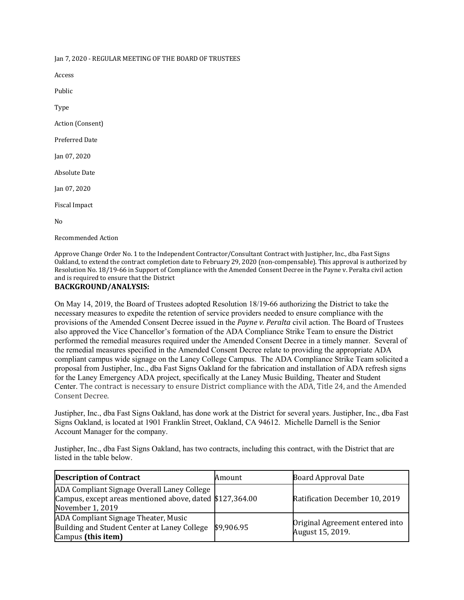Jan 7, 2020 - REGULAR MEETING OF THE BOARD OF TRUSTEES

Access Public Type Action (Consent) Preferred Date Jan 07, 2020 **Absolute Date** Jan 07, 2020 Fiscal Impact No

Recommended Action

Approve Change Order No. 1 to the Independent Contractor/Consultant Contract with Justipher, Inc., dba Fast Signs Oakland, to extend the contract completion date to February 29, 2020 (non-compensable). This approval is authorized by Resolution No. 18/19-66 in Support of Compliance with the Amended Consent Decree in the Payne v. Peralta civil action and is required to ensure that the District

#### **BACKGROUND/ANALYSIS:**

On May 14, 2019, the Board of Trustees adopted Resolution 18/19-66 authorizing the District to take the necessary measures to expedite the retention of service providers needed to ensure compliance with the provisions of the Amended Consent Decree issued in the *Payne v. Peralta* civil action. The Board of Trustees also approved the Vice Chancellor's formation of the ADA Compliance Strike Team to ensure the District performed the remedial measures required under the Amended Consent Decree in a timely manner. Several of the remedial measures specified in the Amended Consent Decree relate to providing the appropriate ADA compliant campus wide signage on the Laney College Campus. The ADA Compliance Strike Team solicited a proposal from Justipher, Inc., dba Fast Signs Oakland for the fabrication and installation of ADA refresh signs for the Laney Emergency ADA project, specifically at the Laney Music Building, Theater and Student Center. The contract is necessary to ensure District compliance with the ADA, Title 24, and the Amended Consent Decree.

Justipher, Inc., dba Fast Signs Oakland, has done work at the District for several years. Justipher, Inc., dba Fast Signs Oakland, is located at 1901 Franklin Street, Oakland, CA 94612. Michelle Darnell is the Senior Account Manager for the company.

Justipher, Inc., dba Fast Signs Oakland, has two contracts, including this contract, with the District that are listed in the table below.

| <b>Description of Contract</b>                                                                                              | Amount     | <b>Board Approval Date</b>                          |
|-----------------------------------------------------------------------------------------------------------------------------|------------|-----------------------------------------------------|
| ADA Compliant Signage Overall Laney College<br>Campus, except areas mentioned above, dated \$127,364.00<br>November 1, 2019 |            | Ratification December 10, 2019                      |
| ADA Compliant Signage Theater, Music<br>Building and Student Center at Laney College<br>Campus (this item)                  | \$9,906.95 | Original Agreement entered into<br>August 15, 2019. |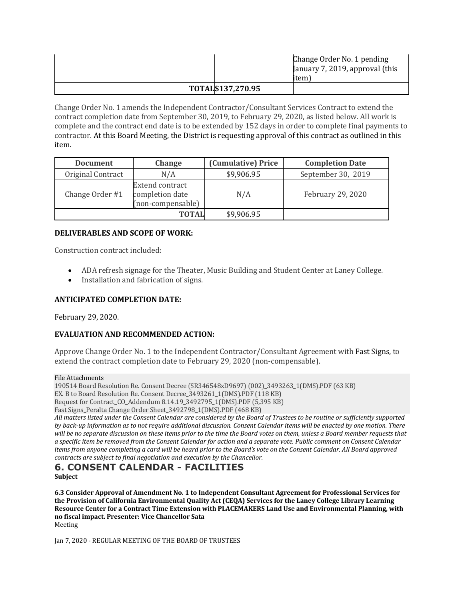|                   | Change Order No. 1 pending<br>January 7, 2019, approval (this |  |
|-------------------|---------------------------------------------------------------|--|
|                   | item l                                                        |  |
| TOTAL\$137,270.95 |                                                               |  |

Change Order No. 1 amends the Independent Contractor/Consultant Services Contract to extend the contract completion date from September 30, 2019, to February 29, 2020, as listed below. All work is complete and the contract end date is to be extended by 152 days in order to complete final payments to contractor. At this Board Meeting, the District is requesting approval of this contract as outlined in this item.

| <b>Document</b>   | <b>Change</b>                                                  | (Cumulative) Price | <b>Completion Date</b> |
|-------------------|----------------------------------------------------------------|--------------------|------------------------|
| Original Contract | N/A                                                            | \$9,906.95         | September 30, 2019     |
| Change Order #1   | <b>Extend contract</b><br>completion date<br>(non-compensable) | N/A                | February 29, 2020      |
|                   | <b>TOTAL</b>                                                   | \$9,906.95         |                        |

#### **DELIVERABLES AND SCOPE OF WORK:**

Construction contract included:

- ADA refresh signage for the Theater, Music Building and Student Center at Laney College.
- Installation and fabrication of signs.

# **ANTICIPATED COMPLETION DATE:**

February 29, 2020.

# **EVALUATION AND RECOMMENDED ACTION:**

Approve Change Order No. 1 to the Independent Contractor/Consultant Agreement with Fast Signs, to extend the contract completion date to February 29, 2020 (non-compensable).

File Attachments

190514 Board Resolution Re. Consent Decree (SR346548xD9697) (002)\_3493263\_1(DMS).PDF (63 KB) EX. B to Board Resolution Re. Consent Decree\_3493261\_1(DMS).PDF (118 KB) Request for Contract\_CO\_Addendum 8.14.19\_3492795\_1(DMS).PDF (5,395 KB)

Fast Signs\_Peralta Change Order Sheet\_3492798\_1(DMS).PDF (468 KB)

All matters listed under the Consent Calendar are considered by the Board of Trustees to be routine or sufficiently supported *by* back-up information as to not require additional discussion. Consent Calendar items will be enacted by one motion. There will be no separate discussion on these items prior to the time the Board votes on them, unless a Board member requests that *a specific item be removed from the Consent Calendar for action and a separate vote. Public comment on Consent Calendar items from anyone completing a card will be heard prior to the Board's vote on the Consent Calendar. All Board approved contracts are subject to final negotiation and execution by the Chancellor.* 

# **6. CONSENT CALENDAR - FACILITIES Subject**

6.3 Consider Approval of Amendment No. 1 to Independent Consultant Agreement for Professional Services for the Provision of California Environmental Quality Act (CEQA) Services for the Laney College Library Learning Resource Center for a Contract Time Extension with PLACEMAKERS Land Use and Environmental Planning, with **no fiscal impact. Presenter: Vice Chancellor Sata** Meeting

Jan 7, 2020 - REGULAR MEETING OF THE BOARD OF TRUSTEES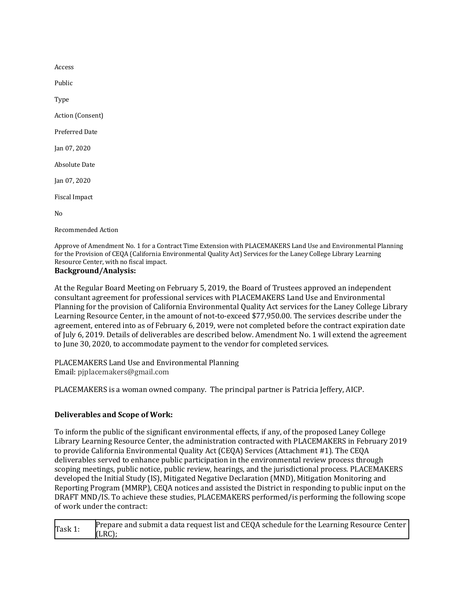Access

Public

Type

Action (Consent)

Preferred Date

Jan 07, 2020

Absolute Date

Jan 07, 2020

Fiscal Impact

No

Recommended Action

Approve of Amendment No. 1 for a Contract Time Extension with PLACEMAKERS Land Use and Environmental Planning for the Provision of CEQA (California Environmental Quality Act) Services for the Laney College Library Learning Resource Center, with no fiscal impact.

# **Background/Analysis:**

At the Regular Board Meeting on February 5, 2019, the Board of Trustees approved an independent consultant agreement for professional services with PLACEMAKERS Land Use and Environmental Planning for the provision of California Environmental Quality Act services for the Laney College Library Learning Resource Center, in the amount of not-to-exceed \$77,950.00. The services describe under the agreement, entered into as of February 6, 2019, were not completed before the contract expiration date of July 6, 2019. Details of deliverables are described below. Amendment No. 1 will extend the agreement to June 30, 2020, to accommodate payment to the vendor for completed services.

PLACEMAKERS Land Use and Environmental Planning Email: pjplacemakers@gmail.com

PLACEMAKERS is a woman owned company. The principal partner is Patricia Jeffery, AICP.

# **Deliverables and Scope of Work:**

To inform the public of the significant environmental effects, if any, of the proposed Laney College Library Learning Resource Center, the administration contracted with PLACEMAKERS in February 2019 to provide California Environmental Quality Act (CEQA) Services (Attachment #1). The CEQA deliverables served to enhance public participation in the environmental review process through scoping meetings, public notice, public review, hearings, and the jurisdictional process. PLACEMAKERS developed the Initial Study (IS), Mitigated Negative Declaration (MND), Mitigation Monitoring and Reporting Program (MMRP), CEQA notices and assisted the District in responding to public input on the DRAFT MND/IS. To achieve these studies, PLACEMAKERS performed/is performing the following scope of work under the contract:

| Task 1: | Prepare and submit a data request list and CEQA schedule for the Learning Resource Center |
|---------|-------------------------------------------------------------------------------------------|
|         | (LRC)                                                                                     |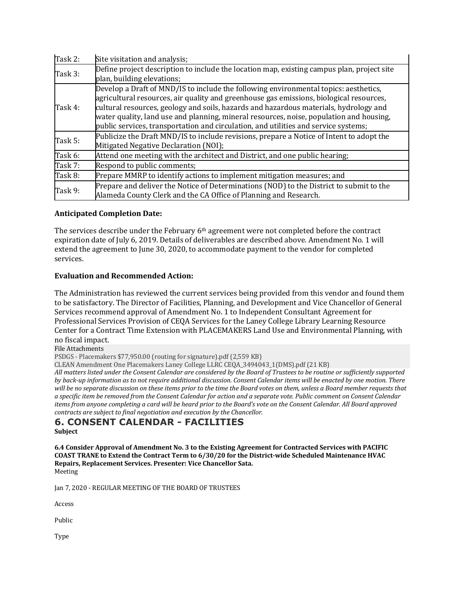| Task 2: | Site visitation and analysis;                                                                                                                                                                                                                                                                                                                                                                                                                              |
|---------|------------------------------------------------------------------------------------------------------------------------------------------------------------------------------------------------------------------------------------------------------------------------------------------------------------------------------------------------------------------------------------------------------------------------------------------------------------|
| Task 3: | Define project description to include the location map, existing campus plan, project site                                                                                                                                                                                                                                                                                                                                                                 |
|         | plan, building elevations;                                                                                                                                                                                                                                                                                                                                                                                                                                 |
| Task 4: | Develop a Draft of MND/IS to include the following environmental topics: aesthetics,<br>agricultural resources, air quality and greenhouse gas emissions, biological resources,<br>cultural resources, geology and soils, hazards and hazardous materials, hydrology and<br>water quality, land use and planning, mineral resources, noise, population and housing,<br>public services, transportation and circulation, and utilities and service systems; |
| Task 5: | Publicize the Draft MND/IS to include revisions, prepare a Notice of Intent to adopt the<br>Mitigated Negative Declaration (NOI);                                                                                                                                                                                                                                                                                                                          |
| Task 6: | Attend one meeting with the architect and District, and one public hearing;                                                                                                                                                                                                                                                                                                                                                                                |
| Task 7: | Respond to public comments;                                                                                                                                                                                                                                                                                                                                                                                                                                |
| Task 8: | Prepare MMRP to identify actions to implement mitigation measures; and                                                                                                                                                                                                                                                                                                                                                                                     |
| Task 9: | Prepare and deliver the Notice of Determinations (NOD) to the District to submit to the<br>Alameda County Clerk and the CA Office of Planning and Research.                                                                                                                                                                                                                                                                                                |

# **Anticipated Completion Date:**

The services describe under the February 6<sup>th</sup> agreement were not completed before the contract expiration date of July 6, 2019. Details of deliverables are described above. Amendment No. 1 will extend the agreement to June 30, 2020, to accommodate payment to the vendor for completed services.

# **Evaluation and Recommended Action:**

The Administration has reviewed the current services being provided from this vendor and found them to be satisfactory. The Director of Facilities, Planning, and Development and Vice Chancellor of General Services recommend approval of Amendment No. 1 to Independent Consultant Agreement for Professional Services Provision of CEQA Services for the Laney College Library Learning Resource Center for a Contract Time Extension with PLACEMAKERS Land Use and Environmental Planning, with no fiscal impact.

File Attachments

PSDGS - Placemakers \$77,950.00 (routing for signature).pdf (2,559 KB)

CLEAN Amendment One Placemakers Laney College LLRC CEQA\_3494043\_1(DMS).pdf (21 KB)

All matters listed under the Consent Calendar are considered by the Board of Trustees to be routine or sufficiently supported *by* back-up information as to not require additional discussion. Consent Calendar items will be enacted by one motion. There will be no separate discussion on these items prior to the time the Board votes on them, unless a Board member requests that *a specific item be removed from the Consent Calendar for action and a separate vote. Public comment on Consent Calendar items* from anyone completing a card will be heard prior to the Board's vote on the Consent Calendar. All Board approved *contracts are subject to final negotiation and execution by the Chancellor.* 

#### **6. CONSENT CALENDAR - FACILITIES Subject**

6.4 Consider Approval of Amendment No. 3 to the Existing Agreement for Contracted Services with PACIFIC COAST TRANE to Extend the Contract Term to 6/30/20 for the District-wide Scheduled Maintenance HVAC Repairs, Replacement Services. Presenter: Vice Chancellor Sata. Meeting

Jan 7, 2020 - REGULAR MEETING OF THE BOARD OF TRUSTEES

Access

Public

Type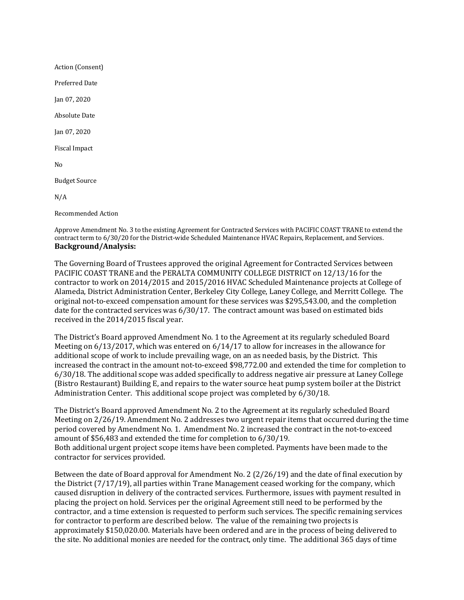Action (Consent)

Preferred Date

Jan 07, 2020

**Absolute Date** 

Jan 07, 2020

Fiscal Impact

No

**Budget Source** 

N/A

Recommended Action

Approve Amendment No. 3 to the existing Agreement for Contracted Services with PACIFIC COAST TRANE to extend the contract term to 6/30/20 for the District-wide Scheduled Maintenance HVAC Repairs, Replacement, and Services. **Background/Analysis:**

The Governing Board of Trustees approved the original Agreement for Contracted Services between PACIFIC COAST TRANE and the PERALTA COMMUNITY COLLEGE DISTRICT on 12/13/16 for the contractor to work on 2014/2015 and 2015/2016 HVAC Scheduled Maintenance projects at College of Alameda, District Administration Center, Berkeley City College, Laney College, and Merritt College. The original not-to-exceed compensation amount for these services was \$295,543.00, and the completion date for the contracted services was 6/30/17. The contract amount was based on estimated bids received in the 2014/2015 fiscal year.

The District's Board approved Amendment No. 1 to the Agreement at its regularly scheduled Board Meeting on 6/13/2017, which was entered on 6/14/17 to allow for increases in the allowance for additional scope of work to include prevailing wage, on an as needed basis, by the District. This increased the contract in the amount not-to-exceed \$98,772.00 and extended the time for completion to 6/30/18. The additional scope was added specifically to address negative air pressure at Laney College (Bistro Restaurant) Building E, and repairs to the water source heat pump system boiler at the District Administration Center. This additional scope project was completed by 6/30/18.

The District's Board approved Amendment No. 2 to the Agreement at its regularly scheduled Board Meeting on 2/26/19. Amendment No. 2 addresses two urgent repair items that occurred during the time period covered by Amendment No. 1. Amendment No. 2 increased the contract in the not-to-exceed amount of \$56,483 and extended the time for completion to 6/30/19. Both additional urgent project scope items have been completed. Payments have been made to the contractor for services provided.

Between the date of Board approval for Amendment No. 2 (2/26/19) and the date of final execution by the District (7/17/19), all parties within Trane Management ceased working for the company, which caused disruption in delivery of the contracted services. Furthermore, issues with payment resulted in placing the project on hold. Services per the original Agreement still need to be performed by the contractor, and a time extension is requested to perform such services. The specific remaining services for contractor to perform are described below. The value of the remaining two projects is approximately \$150,020.00. Materials have been ordered and are in the process of being delivered to the site. No additional monies are needed for the contract, only time. The additional 365 days of time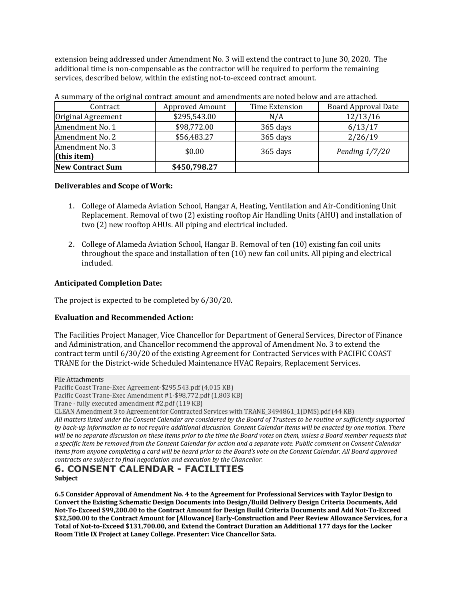extension being addressed under Amendment No. 3 will extend the contract to June 30, 2020. The additional time is non-compensable as the contractor will be required to perform the remaining services, described below, within the existing not-to-exceed contract amount.

| Contract                       | <b>Approved Amount</b> | Time Extension | <b>Board Approval Date</b> |
|--------------------------------|------------------------|----------------|----------------------------|
| Original Agreement             | \$295,543.00           | N/A            | 12/13/16                   |
| Amendment No. 1                | \$98,772.00            | 365 days       | 6/13/17                    |
| Amendment No. 2                | \$56,483.27            | 365 days       | 2/26/19                    |
| Amendment No. 3<br>(this item) | \$0.00                 | 365 days       | Pending $1/7/20$           |
| <b>New Contract Sum</b>        | \$450,798.27           |                |                            |

A summary of the original contract amount and amendments are noted below and are attached.

# **Deliverables and Scope of Work:**

- 1. College of Alameda Aviation School, Hangar A, Heating, Ventilation and Air-Conditioning Unit Replacement. Removal of two (2) existing rooftop Air Handling Units (AHU) and installation of two (2) new rooftop AHUs. All piping and electrical included.
- 2. College of Alameda Aviation School, Hangar B. Removal of ten (10) existing fan coil units throughout the space and installation of ten (10) new fan coil units. All piping and electrical included.

# **Anticipated Completion Date:**

The project is expected to be completed by 6/30/20.

# **Evaluation and Recommended Action:**

The Facilities Project Manager, Vice Chancellor for Department of General Services, Director of Finance and Administration, and Chancellor recommend the approval of Amendment No. 3 to extend the contract term until 6/30/20 of the existing Agreement for Contracted Services with PACIFIC COAST TRANE for the District-wide Scheduled Maintenance HVAC Repairs, Replacement Services.

File Attachments

Pacific Coast Trane-Exec Agreement-\$295,543.pdf (4,015 KB)

Pacific Coast Trane-Exec Amendment #1-\$98,772.pdf (1,803 KB)

Trane - fully executed amendment #2.pdf (119 KB)

CLEAN Amendment 3 to Agreement for Contracted Services with TRANE\_3494861\_1(DMS).pdf (44 KB)

All matters listed under the Consent Calendar are considered by the Board of Trustees to be routine or sufficiently supported *by* back-up information as to not require additional discussion. Consent Calendar items will be enacted by one motion. There will be no separate discussion on these items prior to the time the Board votes on them, unless a Board member requests that *a specific item be removed from the Consent Calendar for action and a separate vote. Public comment on Consent Calendar items from anyone completing a card will be heard prior to the Board's vote on the Consent Calendar. All Board approved contracts are subject to final negotiation and execution by the Chancellor.* 

# **6. CONSENT CALENDAR - FACILITIES**

**Subject**

**6.5 Consider Approval of Amendment No. 4 to the Agreement for Professional Services with Taylor Design to**  Convert the Existing Schematic Design Documents into Design/Build Delivery Design Criteria Documents, Add Not-To-Exceed \$99,200.00 to the Contract Amount for Design Build Criteria Documents and Add Not-To-Exceed **\$32,500.00** to the Contract Amount for [Allowance] Early-Construction and Peer Review Allowance Services, for a Total of Not-to-Exceed \$131,700.00, and Extend the Contract Duration an Additional 177 days for the Locker Room Title IX Project at Laney College. Presenter: Vice Chancellor Sata.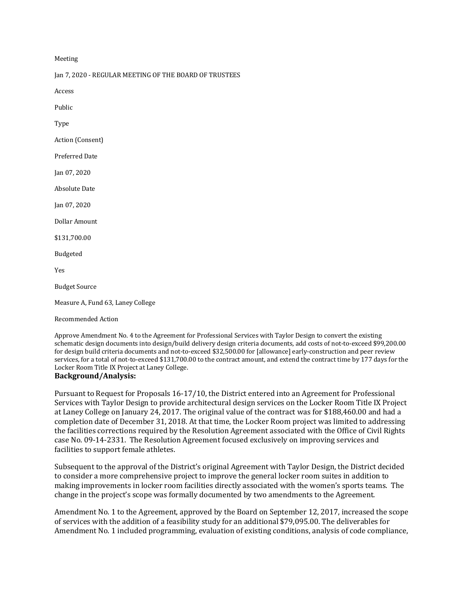Meeting

Jan 7, 2020 - REGULAR MEETING OF THE BOARD OF TRUSTEES

Access

Public

Type

Action (Consent)

Preferred Date

Jan 07, 2020

Absolute Date

Jan 07, 2020

Dollar Amount

\$131,700.00

Budgeted

Yes

**Budget Source** 

Measure A, Fund 63, Laney College

Recommended Action

Approve Amendment No. 4 to the Agreement for Professional Services with Taylor Design to convert the existing schematic design documents into design/build delivery design criteria documents, add costs of not-to-exceed \$99,200.00 for design build criteria documents and not-to-exceed \$32,500.00 for [allowance] early-construction and peer review services, for a total of not-to-exceed \$131,700.00 to the contract amount, and extend the contract time by 177 days for the Locker Room Title IX Project at Laney College.

# **Background/Analysis:**

Pursuant to Request for Proposals 16-17/10, the District entered into an Agreement for Professional Services with Taylor Design to provide architectural design services on the Locker Room Title IX Project at Laney College on January 24, 2017. The original value of the contract was for \$188,460.00 and had a completion date of December 31, 2018. At that time, the Locker Room project was limited to addressing the facilities corrections required by the Resolution Agreement associated with the Office of Civil Rights case No. 09-14-2331. The Resolution Agreement focused exclusively on improving services and facilities to support female athletes.

Subsequent to the approval of the District's original Agreement with Taylor Design, the District decided to consider a more comprehensive project to improve the general locker room suites in addition to making improvements in locker room facilities directly associated with the women's sports teams. The change in the project's scope was formally documented by two amendments to the Agreement.

Amendment No. 1 to the Agreement, approved by the Board on September 12, 2017, increased the scope of services with the addition of a feasibility study for an additional \$79,095.00. The deliverables for Amendment No. 1 included programming, evaluation of existing conditions, analysis of code compliance,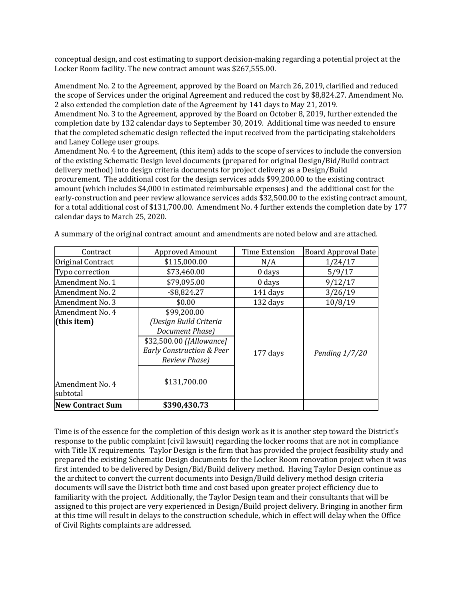conceptual design, and cost estimating to support decision-making regarding a potential project at the Locker Room facility. The new contract amount was \$267,555.00.

Amendment No. 2 to the Agreement, approved by the Board on March 26, 2019, clarified and reduced the scope of Services under the original Agreement and reduced the cost by \$8,824.27. Amendment No. 2 also extended the completion date of the Agreement by 141 days to May 21, 2019.

Amendment No. 3 to the Agreement, approved by the Board on October 8, 2019, further extended the completion date by 132 calendar days to September 30, 2019. Additional time was needed to ensure that the completed schematic design reflected the input received from the participating stakeholders and Laney College user groups.

Amendment No. 4 to the Agreement, (this item) adds to the scope of services to include the conversion of the existing Schematic Design level documents (prepared for original Design/Bid/Build contract delivery method) into design criteria documents for project delivery as a Design/Build procurement. The additional cost for the design services adds \$99,200.00 to the existing contract amount (which includes \$4,000 in estimated reimbursable expenses) and the additional cost for the early-construction and peer review allowance services adds \$32,500.00 to the existing contract amount, for a total additional cost of \$131,700.00. Amendment No. 4 further extends the completion date by 177 calendar days to March 25, 2020.

| Contract                                                      | <b>Approved Amount</b>                                                                                                                                                | Time Extension | <b>Board Approval Date</b> |
|---------------------------------------------------------------|-----------------------------------------------------------------------------------------------------------------------------------------------------------------------|----------------|----------------------------|
| Original Contract                                             | \$115,000.00                                                                                                                                                          | N/A            | 1/24/17                    |
| Typo correction                                               | \$73,460.00                                                                                                                                                           | 0 days         | 5/9/17                     |
| Amendment No. 1                                               | \$79,095.00                                                                                                                                                           | $0$ days       | 9/12/17                    |
| Amendment No. 2                                               | $-$ \$8,824.27                                                                                                                                                        | 141 days       | 3/26/19                    |
| Amendment No. 3                                               | \$0.00                                                                                                                                                                | 132 days       | 10/8/19                    |
| Amendment No. 4<br>(this item)<br>Amendment No. 4<br>subtotal | \$99,200.00<br>(Design Build Criteria<br>Document Phase)<br>\$32,500.00 ([Allowance]<br><b>Early Construction &amp; Peer</b><br><b>Review Phase</b> )<br>\$131,700.00 | 177 days       | Pending $1/7/20$           |
| <b>New Contract Sum</b>                                       | \$390,430.73                                                                                                                                                          |                |                            |

A summary of the original contract amount and amendments are noted below and are attached.

Time is of the essence for the completion of this design work as it is another step toward the District's response to the public complaint (civil lawsuit) regarding the locker rooms that are not in compliance with Title IX requirements. Taylor Design is the firm that has provided the project feasibility study and prepared the existing Schematic Design documents for the Locker Room renovation project when it was first intended to be delivered by Design/Bid/Build delivery method. Having Taylor Design continue as the architect to convert the current documents into Design/Build delivery method design criteria documents will save the District both time and cost based upon greater project efficiency due to familiarity with the project. Additionally, the Taylor Design team and their consultants that will be assigned to this project are very experienced in Design/Build project delivery. Bringing in another firm at this time will result in delays to the construction schedule, which in effect will delay when the Office of Civil Rights complaints are addressed.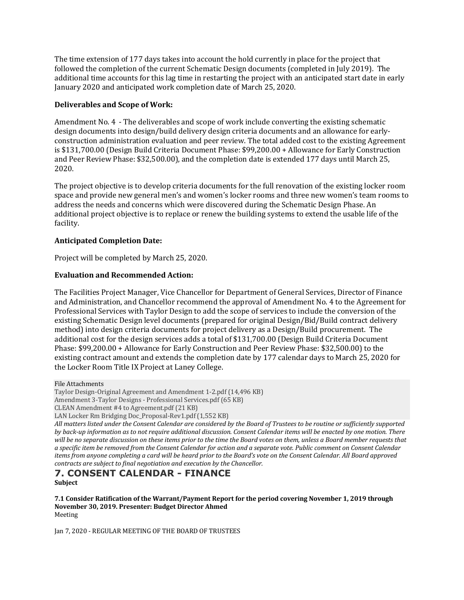The time extension of 177 days takes into account the hold currently in place for the project that followed the completion of the current Schematic Design documents (completed in July 2019). The additional time accounts for this lag time in restarting the project with an anticipated start date in early January 2020 and anticipated work completion date of March 25, 2020.

#### **Deliverables and Scope of Work:**

Amendment No. 4 - The deliverables and scope of work include converting the existing schematic design documents into design/build delivery design criteria documents and an allowance for earlyconstruction administration evaluation and peer review. The total added cost to the existing Agreement is \$131,700.00 (Design Build Criteria Document Phase: \$99,200.00 + Allowance for Early Construction and Peer Review Phase: \$32,500.00), and the completion date is extended 177 days until March 25, 2020.

The project objective is to develop criteria documents for the full renovation of the existing locker room space and provide new general men's and women's locker rooms and three new women's team rooms to address the needs and concerns which were discovered during the Schematic Design Phase. An additional project objective is to replace or renew the building systems to extend the usable life of the facility.

# **Anticipated Completion Date:**

Project will be completed by March 25, 2020.

#### **Evaluation and Recommended Action:**

The Facilities Project Manager, Vice Chancellor for Department of General Services, Director of Finance and Administration, and Chancellor recommend the approval of Amendment No. 4 to the Agreement for Professional Services with Taylor Design to add the scope of services to include the conversion of the existing Schematic Design level documents (prepared for original Design/Bid/Build contract delivery method) into design criteria documents for project delivery as a Design/Build procurement. The additional cost for the design services adds a total of \$131,700.00 (Design Build Criteria Document Phase: \$99,200.00 + Allowance for Early Construction and Peer Review Phase: \$32,500.00) to the existing contract amount and extends the completion date by 177 calendar days to March 25, 2020 for the Locker Room Title IX Project at Laney College.

File Attachments

Taylor Design-Original Agreement and Amendment 1-2.pdf (14,496 KB)

Amendment 3-Taylor Designs - Professional Services.pdf (65 KB)

CLEAN Amendment #4 to Agreement.pdf (21 KB)

LAN Locker Rm Bridging Doc\_Proposal-Rev1.pdf (1,552 KB)

All matters listed under the Consent Calendar are considered by the Board of Trustees to be routine or sufficiently supported *by* back-up information as to not require additional discussion. Consent Calendar items will be enacted by one motion. There will be no separate discussion on these items prior to the time the Board votes on them, unless a Board member requests that *a specific item be removed from the Consent Calendar for action and a separate vote. Public comment on Consent Calendar items from anyone completing a card will be heard prior to the Board's vote on the Consent Calendar. All Board approved contracts are subject to final negotiation and execution by the Chancellor.* 

# **7. CONSENT CALENDAR - FINANCE Subject**

**7.1 Consider Ratification of the Warrant/Payment Report for the period covering November 1, 2019 through** November 30, 2019. Presenter: Budget Director Ahmed Meeting

Jan 7, 2020 - REGULAR MEETING OF THE BOARD OF TRUSTEES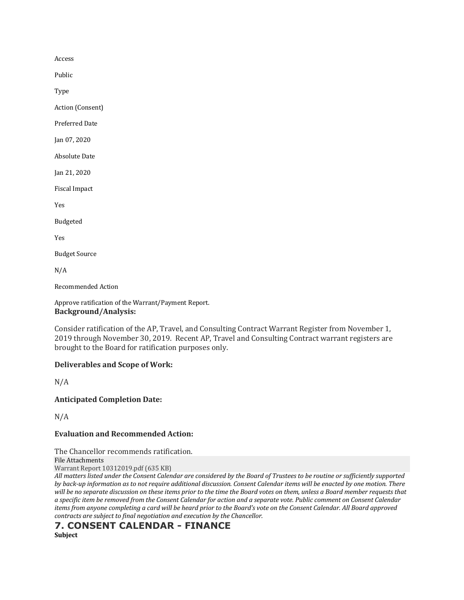Access

Public

Type

Action (Consent)

Preferred Date

Jan 07, 2020

**Absolute Date** 

Jan 21, 2020

Fiscal Impact

Yes

Budgeted

Yes

**Budget Source** 

N/A

Recommended Action

Approve ratification of the Warrant/Payment Report. **Background/Analysis:**

Consider ratification of the AP, Travel, and Consulting Contract Warrant Register from November 1, 2019 through November 30, 2019. Recent AP, Travel and Consulting Contract warrant registers are brought to the Board for ratification purposes only.

# **Deliverables and Scope of Work:**

N/A

**Anticipated Completion Date:**

N/A

#### **Evaluation and Recommended Action:**

The Chancellor recommends ratification.

File Attachments

Warrant Report 10312019.pdf (635 KB)

All matters listed under the Consent Calendar are considered by the Board of Trustees to be routine or sufficiently supported *by* back-up information as to not require additional discussion. Consent Calendar items will be enacted by one motion. There will be no separate discussion on these items prior to the time the Board votes on them, unless a Board member requests that *a specific item be removed from the Consent Calendar for action and a separate vote. Public comment on Consent Calendar items from anyone completing a card will be heard prior to the Board's vote on the Consent Calendar. All Board approved contracts are subject to final negotiation and execution by the Chancellor.* 

# **7. CONSENT CALENDAR - FINANCE**

**Subject**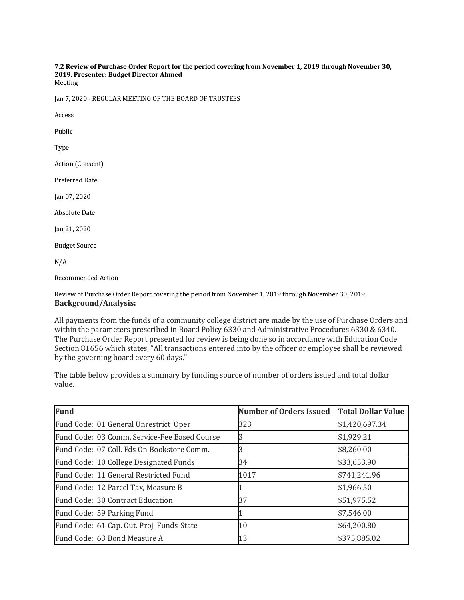#### 7.2 Review of Purchase Order Report for the period covering from November 1, 2019 through November 30, **2019. Presenter: Budget Director Ahmed** Meeting

Jan 7, 2020 - REGULAR MEETING OF THE BOARD OF TRUSTEES

Access

Public

Type

Action (Consent)

Preferred Date

Jan 07, 2020

**Absolute Date** 

Jan 21, 2020

**Budget Source** 

 $N/A$ 

Recommended Action

Review of Purchase Order Report covering the period from November 1, 2019 through November 30, 2019. **Background/Analysis:**

All payments from the funds of a community college district are made by the use of Purchase Orders and within the parameters prescribed in Board Policy 6330 and Administrative Procedures 6330 & 6340. The Purchase Order Report presented for review is being done so in accordance with Education Code Section 81656 which states, "All transactions entered into by the officer or employee shall be reviewed by the governing board every 60 days."

The table below provides a summary by funding source of number of orders issued and total dollar value.

| <b>Fund</b>                                  | <b>Number of Orders Issued</b> | <b>Total Dollar Value</b> |
|----------------------------------------------|--------------------------------|---------------------------|
| Fund Code: 01 General Unrestrict Oper        | 323                            | \$1,420,697.34            |
| Fund Code: 03 Comm. Service-Fee Based Course |                                | \$1,929.21                |
| Fund Code: 07 Coll. Fds On Bookstore Comm.   |                                | \$8,260.00                |
| Fund Code: 10 College Designated Funds       | 34                             | \$33,653.90               |
| Fund Code: 11 General Restricted Fund        | 1017                           | \$741,241.96              |
| Fund Code: 12 Parcel Tax, Measure B          |                                | \$1,966.50                |
| Fund Code: 30 Contract Education             | 37                             | \$51,975.52               |
| Fund Code: 59 Parking Fund                   |                                | \$7,546.00                |
| Fund Code: 61 Cap. Out. Proj. Funds-State    | 10                             | \$64,200.80               |
| Fund Code: 63 Bond Measure A                 | 13                             | \$375,885.02              |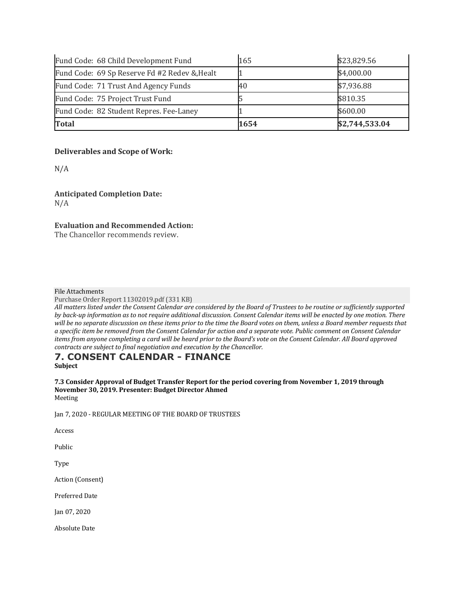| Fund Code: 68 Child Development Fund         | 165  | \$23,829.56    |
|----------------------------------------------|------|----------------|
| Fund Code: 69 Sp Reserve Fd #2 Redev & Healt |      | \$4,000.00     |
| Fund Code: 71 Trust And Agency Funds         | 40   | \$7,936.88     |
| Fund Code: 75 Project Trust Fund             |      | \$810.35       |
| Fund Code: 82 Student Repres. Fee-Laney      |      | \$600.00       |
| <b>Total</b>                                 | 1654 | \$2,744,533.04 |

# **Deliverables and Scope of Work:**

N/A

**Anticipated Completion Date:** N/A

# **Evaluation and Recommended Action:**

The Chancellor recommends review.

#### File Attachments

Purchase Order Report 11302019.pdf (331 KB)

All matters listed under the Consent Calendar are considered by the Board of Trustees to be routine or sufficiently supported *by* back-up information as to not require additional discussion. Consent Calendar items will be enacted by one motion. There will be no separate discussion on these items prior to the time the Board votes on them, unless a Board member requests that *a specific item be removed from the Consent Calendar for action and a separate vote. Public comment on Consent Calendar items from anyone completing a card will be heard prior to the Board's vote on the Consent Calendar. All Board approved contracts are subject to final negotiation and execution by the Chancellor.* 

# **7. CONSENT CALENDAR - FINANCE Subject**

**7.3** Consider Approval of Budget Transfer Report for the period covering from November 1, 2019 through November 30, 2019. Presenter: Budget Director Ahmed Meeting

Jan 7, 2020 - REGULAR MEETING OF THE BOARD OF TRUSTEES

Access

Public

Type

Action (Consent)

Preferred Date

Jan 07, 2020

**Absolute Date**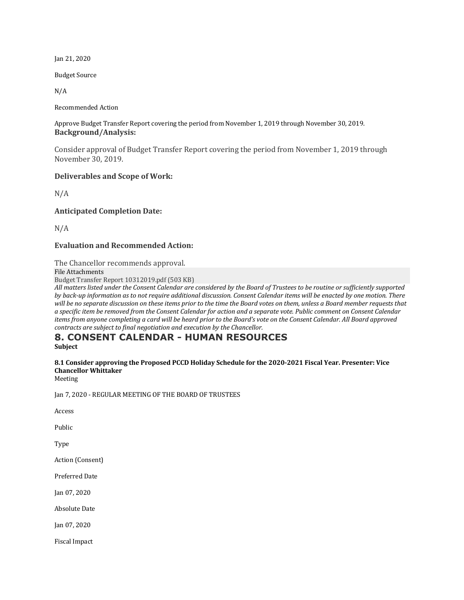Jan 21, 2020

**Budget Source** 

N/A

Recommended Action

Approve Budget Transfer Report covering the period from November 1, 2019 through November 30, 2019. **Background/Analysis:**

Consider approval of Budget Transfer Report covering the period from November 1, 2019 through November 30, 2019.

#### **Deliverables and Scope of Work:**

N/A

**Anticipated Completion Date:**

N/A

#### **Evaluation and Recommended Action:**

The Chancellor recommends approval.

File Attachments

Budget Transfer Report 10312019.pdf (503 KB)

All matters listed under the Consent Calendar are considered by the Board of Trustees to be routine or sufficiently supported *by* back-up information as to not require additional discussion. Consent Calendar items will be enacted by one motion. There will be no separate discussion on these items prior to the time the Board votes on them, unless a Board member requests that *a specific item be removed from the Consent Calendar for action and a separate vote. Public comment on Consent Calendar items from anyone completing a card will be heard prior to the Board's vote on the Consent Calendar. All Board approved contracts are subject to final negotiation and execution by the Chancellor.* 

# **8. CONSENT CALENDAR - HUMAN RESOURCES**

**Subject**

# 8.1 Consider approving the Proposed PCCD Holiday Schedule for the 2020-2021 Fiscal Year. Presenter: Vice **Chancellor Whittaker**

Meeting

Jan 7, 2020 - REGULAR MEETING OF THE BOARD OF TRUSTEES

Access

Public

Type

Action (Consent)

Preferred Date

Jan 07, 2020

Absolute Date

Jan 07, 2020

Fiscal Impact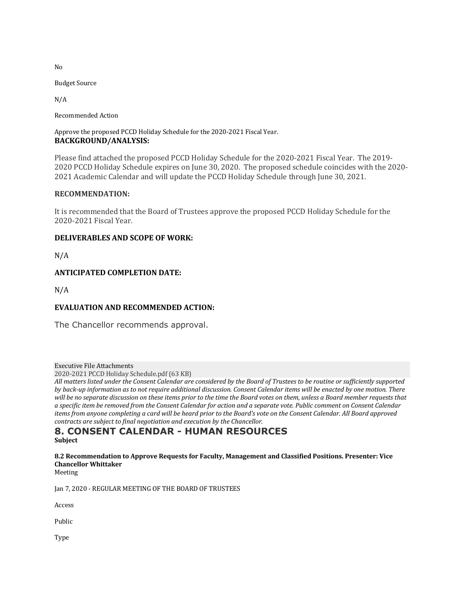No

**Budget Source** 

N/A

Recommended Action

#### Approve the proposed PCCD Holiday Schedule for the 2020-2021 Fiscal Year. **BACKGROUND/ANALYSIS:**

Please find attached the proposed PCCD Holiday Schedule for the 2020-2021 Fiscal Year. The 2019- 2020 PCCD Holiday Schedule expires on June 30, 2020. The proposed schedule coincides with the 2020- 2021 Academic Calendar and will update the PCCD Holiday Schedule through June 30, 2021.

#### **RECOMMENDATION:**

It is recommended that the Board of Trustees approve the proposed PCCD Holiday Schedule for the 2020-2021 Fiscal Year.

#### **DELIVERABLES AND SCOPE OF WORK:**

N/A

#### **ANTICIPATED COMPLETION DATE:**

N/A

# **EVALUATION AND RECOMMENDED ACTION:**

The Chancellor recommends approval.

Executive File Attachments

2020-2021 PCCD Holiday Schedule.pdf (63 KB)

All matters listed under the Consent Calendar are considered by the Board of Trustees to be routine or sufficiently supported *by* back-up information as to not require additional discussion. Consent Calendar items will be enacted by one motion. There will be no separate discussion on these items prior to the time the Board votes on them, unless a Board member requests that *a specific item be removed from the Consent Calendar for action and a separate vote. Public comment on Consent Calendar items from anyone completing a card will be heard prior to the Board's vote on the Consent Calendar. All Board approved contracts are subject to final negotiation and execution by the Chancellor.* 

# **8. CONSENT CALENDAR - HUMAN RESOURCES Subject**

#### **8.2 Recommendation to Approve Requests for Faculty, Management and Classified Positions. Presenter: Vice Chancellor Whittaker**

Meeting

Jan 7, 2020 - REGULAR MEETING OF THE BOARD OF TRUSTEES

Access

Public

Type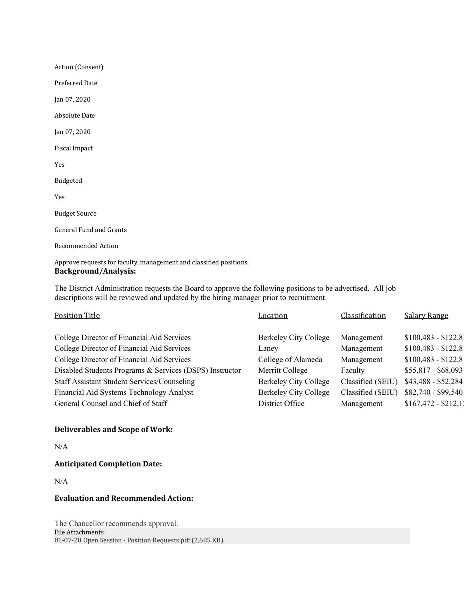Action (Consent) Preferred Date Jan 07, 2020 **Absolute Date** Jan 07, 2020 Fiscal Impact Yes Budgeted Yes **Budget Source** General Fund and Grants Recommended Action

Approve requests for faculty, management and classified positions. **Background/Analysis:**

The District Administration requests the Board to approve the following positions to be advertised. All job descriptions will be reviewed and updated by the hiring manager prior to recruitment.

| Classification<br>Position Title<br>Location                                                     | <b>Salary Range</b>  |
|--------------------------------------------------------------------------------------------------|----------------------|
|                                                                                                  |                      |
| College Director of Financial Aid Services<br>Berkeley City College<br>Management                | $$100,483 - $122,8$  |
| College Director of Financial Aid Services<br>Management<br>Lanev                                | $$100,483 - $122,8$  |
| College Director of Financial Aid Services<br>College of Alameda<br>Management                   | $$100,483 - $122,8$  |
| Disabled Students Programs & Services (DSPS) Instructor<br>Merritt College<br>Faculty            | $$55,817 - $68,093$  |
| <b>Staff Assistant Student Services/Counseling</b><br>Berkeley City College<br>Classified (SEIU) | $$43,488 - $52,284$  |
| Berkeley City College<br>Classified (SEIU)<br>Financial Aid Systems Technology Analyst           | \$82,740 - \$99,540  |
| General Counsel and Chief of Staff<br>District Office<br>Management                              | $$167,472 - $212,11$ |

#### **Deliverables and Scope of Work:**

N/A

**Anticipated Completion Date:**

N/A

#### **Evaluation and Recommended Action:**

The Chancellor recommends approval. File Attachments 01-07-20 Open Session - Position Requests.pdf (2,685 KB)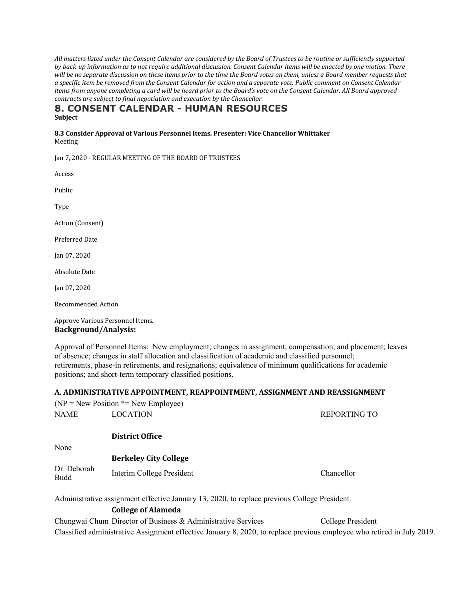All matters listed under the Consent Calendar are considered by the Board of Trustees to be routine or sufficiently supported *by back-up* information as to not require additional discussion. Consent Calendar items will be enacted by one motion. There will be no separate discussion on these items prior to the time the Board votes on them, unless a Board member requests that *a specific item be removed from the Consent Calendar for action and a separate vote. Public comment on Consent Calendar items from anyone completing a card will be heard prior to the Board's vote on the Consent Calendar. All Board approved contracts are subject to final negotiation and execution by the Chancellor.* 

# **8. CONSENT CALENDAR - HUMAN RESOURCES Subject**

**8.3 Consider Approval of Various Personnel Items. Presenter: Vice Chancellor Whittaker** Meeting

Jan 7, 2020 - REGULAR MEETING OF THE BOARD OF TRUSTEES

Access

Public

Type

Action (Consent)

Preferred Date

Jan 07, 2020

**Absolute Date** 

Jan 07, 2020

Recommended Action

Approve Various Personnel Items. **Background/Analysis:**

Approval of Personnel Items: New employment; changes in assignment, compensation, and placement; leaves of absence; changes in staff allocation and classification of academic and classified personnel; retirements, phase-in retirements, and resignations; equivalence of minimum qualifications for academic positions; and short-term temporary classified positions.

# **A. ADMINISTRATIVE APPOINTMENT, REAPPOINTMENT, ASSIGNMENT AND REASSIGNMENT**

|                     | $(NP = New Position * = New Employee)$                                                       |                       |
|---------------------|----------------------------------------------------------------------------------------------|-----------------------|
| NAME                | <b>LOCATION</b>                                                                              | REPORTING TO          |
|                     |                                                                                              |                       |
|                     | <b>District Office</b>                                                                       |                       |
| None                |                                                                                              |                       |
|                     | <b>Berkeley City College</b>                                                                 |                       |
| Dr. Deborah<br>Budd | Interim College President                                                                    | Chancellor            |
|                     | Administrative assignment effective January 13, 2020, to replace previous College President. |                       |
|                     | <b>College of Alameda</b>                                                                    |                       |
|                     | Chungwai Chum Director of Business & Administrative Services                                 | $C_0$ llege President |

Chungwai Chum Director of Business & Administrative Services College President Classified administrative Assignment effective January 8, 2020, to replace previous employee who retired in July 2019.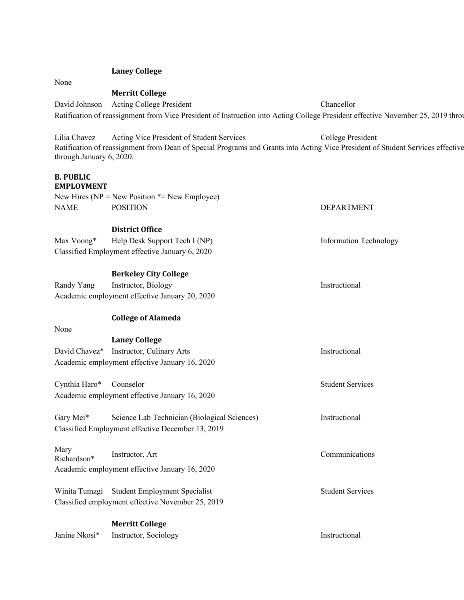#### **Laney College**

None

#### **Merritt College**

David Johnson Acting College President Chancellor Ratification of reassignment from Vice President of Instruction into Acting College President effective November 25, 2019 through

Lilia Chavez Acting Vice President of Student Services College President Ratification of reassignment from Dean of Special Programs and Grants into Acting Vice President of Student Services effective through January 6, 2020.

DEPARTMENT

#### **B. PUBLIC EMPLOYMENT**

|      | New Hires ( $NP = New Position \times = New Employee$ ) |
|------|---------------------------------------------------------|
| NAME | <b>POSITION</b>                                         |

#### **District Office**

Max Voong\* Help Desk Support Tech I (NP) Information Technology Classified Employment effective January 6, 2020

# **Berkeley City College**

Randy Yang Instructor, Biology Instructional Academic employment effective January 20, 2020

#### **College of Alameda**

None

|                         | <b>Laney College</b>                              |                         |
|-------------------------|---------------------------------------------------|-------------------------|
|                         | David Chavez* Instructor, Culinary Arts           | Instructional           |
|                         | Academic employment effective January 16, 2020    |                         |
| Cynthia Haro* Counselor |                                                   | <b>Student Services</b> |
|                         | Academic employment effective January 16, 2020    |                         |
| Gary Mei <sup>*</sup>   | Science Lab Technician (Biological Sciences)      | Instructional           |
|                         | Classified Employment effective December 13, 2019 |                         |
| Mary<br>Richardson*     | Instructor, Art                                   | Communications          |
|                         | Academic employment effective January 16, 2020    |                         |
|                         | Winita Tumzgi Student Employment Specialist       | <b>Student Services</b> |
|                         | Classified employment effective November 25, 2019 |                         |
|                         | <b>Merritt College</b>                            |                         |
| Janine Nkosi*           | Instructor, Sociology                             | Instructional           |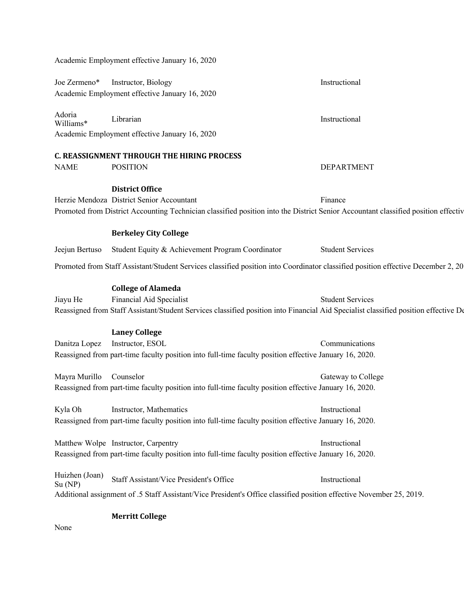|                          | Academic Employment effective January 16, 2020                                                                                      |                         |
|--------------------------|-------------------------------------------------------------------------------------------------------------------------------------|-------------------------|
| Joe Zermeno*             | Instructor, Biology<br>Academic Employment effective January 16, 2020                                                               | Instructional           |
| Adoria<br>Williams*      | Librarian                                                                                                                           | Instructional           |
|                          | Academic Employment effective January 16, 2020                                                                                      |                         |
|                          | <b>C. REASSIGNMENT THROUGH THE HIRING PROCESS</b>                                                                                   |                         |
| <b>NAME</b>              | <b>POSITION</b>                                                                                                                     | <b>DEPARTMENT</b>       |
|                          | <b>District Office</b>                                                                                                              |                         |
|                          | Herzie Mendoza District Senior Accountant                                                                                           | Finance                 |
|                          | Promoted from District Accounting Technician classified position into the District Senior Accountant classified position effectiv   |                         |
|                          | <b>Berkeley City College</b>                                                                                                        |                         |
| Jeejun Bertuso           | Student Equity & Achievement Program Coordinator                                                                                    | <b>Student Services</b> |
|                          | Promoted from Staff Assistant/Student Services classified position into Coordinator classified position effective December 2, 20    |                         |
|                          | <b>College of Alameda</b>                                                                                                           |                         |
| Jiayu He                 | Financial Aid Specialist                                                                                                            | <b>Student Services</b> |
|                          | Reassigned from Staff Assistant/Student Services classified position into Financial Aid Specialist classified position effective De |                         |
|                          | <b>Laney College</b>                                                                                                                |                         |
| Danitza Lopez            | Instructor, ESOL                                                                                                                    | Communications          |
|                          | Reassigned from part-time faculty position into full-time faculty position effective January 16, 2020.                              |                         |
| Mayra Murillo            | Counselor                                                                                                                           | Gateway to College      |
|                          | Reassigned from part-time faculty position into full-time faculty position effective January 16, 2020.                              |                         |
| Kyla Oh                  | Instructor, Mathematics                                                                                                             | Instructional           |
|                          | Reassigned from part-time faculty position into full-time faculty position effective January 16, 2020.                              |                         |
|                          | Matthew Wolpe Instructor, Carpentry                                                                                                 | Instructional           |
|                          | Reassigned from part-time faculty position into full-time faculty position effective January 16, 2020.                              |                         |
| Huizhen (Joan)<br>Su(NP) | Staff Assistant/Vice President's Office                                                                                             | Instructional           |
|                          | Additional assignment of .5 Staff Assistant/Vice President's Office classified position effective November 25, 2019.                |                         |
|                          | <b>Merritt College</b>                                                                                                              |                         |
| None                     |                                                                                                                                     |                         |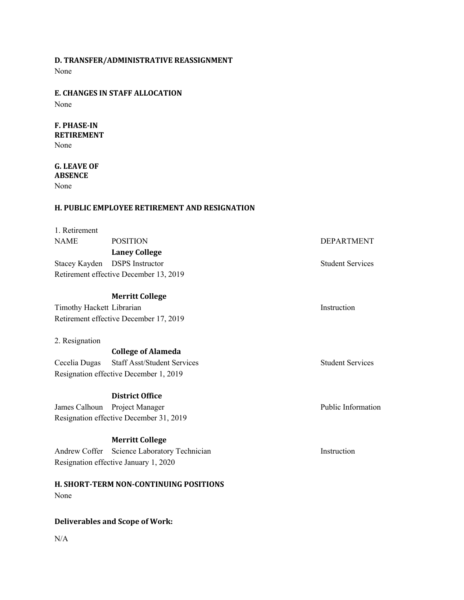# **D. TRANSFER/ADMINISTRATIVE REASSIGNMENT**

None

# **E. CHANGES IN STAFF ALLOCATION**

None

# **F. PHASE-IN RETIREMENT**

None

#### **G. LEAVE OF ABSENCE**

None

# **H. PUBLIC EMPLOYEE RETIREMENT AND RESIGNATION**

| 1. Retirement                          |                                               |                         |
|----------------------------------------|-----------------------------------------------|-------------------------|
| <b>NAME</b>                            | <b>POSITION</b>                               | <b>DEPARTMENT</b>       |
|                                        | <b>Laney College</b>                          |                         |
| Stacey Kayden                          | <b>DSPS</b> Instructor                        | <b>Student Services</b> |
|                                        | Retirement effective December 13, 2019        |                         |
|                                        |                                               |                         |
|                                        | <b>Merritt College</b>                        |                         |
| Timothy Hackett Librarian              |                                               | Instruction             |
|                                        | Retirement effective December 17, 2019        |                         |
|                                        |                                               |                         |
| 2. Resignation                         |                                               |                         |
|                                        | <b>College of Alameda</b>                     |                         |
| Cecelia Dugas                          | Staff Asst/Student Services                   | <b>Student Services</b> |
| Resignation effective December 1, 2019 |                                               |                         |
|                                        |                                               |                         |
|                                        | <b>District Office</b>                        |                         |
| James Calhoun                          | Project Manager                               | Public Information      |
|                                        | Resignation effective December 31, 2019       |                         |
|                                        |                                               |                         |
|                                        | <b>Merritt College</b>                        |                         |
| Andrew Coffer                          | Science Laboratory Technician                 | Instruction             |
|                                        | Resignation effective January 1, 2020         |                         |
|                                        |                                               |                         |
|                                        | <b>H. SHORT-TERM NON-CONTINUING POSITIONS</b> |                         |
| None                                   |                                               |                         |
|                                        |                                               |                         |

# **Deliverables and Scope of Work:**

N/A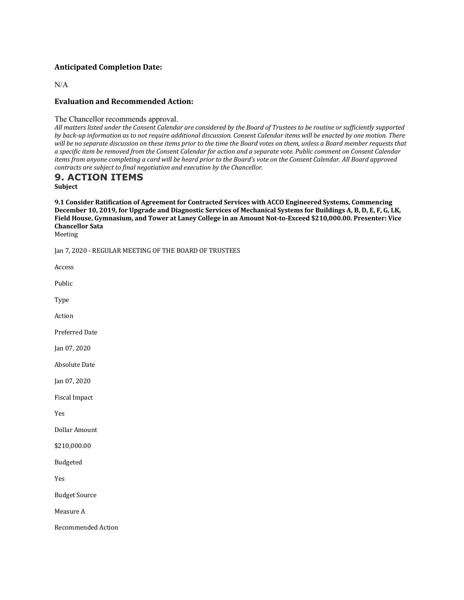# **Anticipated Completion Date:**

N/A

#### **Evaluation and Recommended Action:**

The Chancellor recommends approval.

All matters listed under the Consent Calendar are considered by the Board of Trustees to be routine or sufficiently supported *by* back-up information as to not require additional discussion. Consent Calendar items will be enacted by one motion. There will be no separate discussion on these items prior to the time the Board votes on them, unless a Board member requests that *a specific item be removed from the Consent Calendar for action and a separate vote. Public comment on Consent Calendar items from anyone completing a card will be heard prior to the Board's vote on the Consent Calendar. All Board approved contracts are subject to final negotiation and execution by the Chancellor.* 

# **9. ACTION ITEMS**

**Subject**

9.1 Consider Ratification of Agreement for Contracted Services with ACCO Engineered Systems, Commencing December 10, 2019, for Upgrade and Diagnostic Services of Mechanical Systems for Buildings A, B, D, E, F, G, LK, Field House, Gymnasium, and Tower at Laney College in an Amount Not-to-Exceed \$210,000.00. Presenter: Vice **Chancellor Sata**

Meeting

Jan 7, 2020 - REGULAR MEETING OF THE BOARD OF TRUSTEES

Access

Public

Type

Action

Preferred Date

Jan 07, 2020

**Absolute Date** 

Jan 07, 2020

Fiscal Impact

Yes

Dollar Amount

\$210,000.00

Budgeted

Yes

**Budget Source** 

Measure A

Recommended Action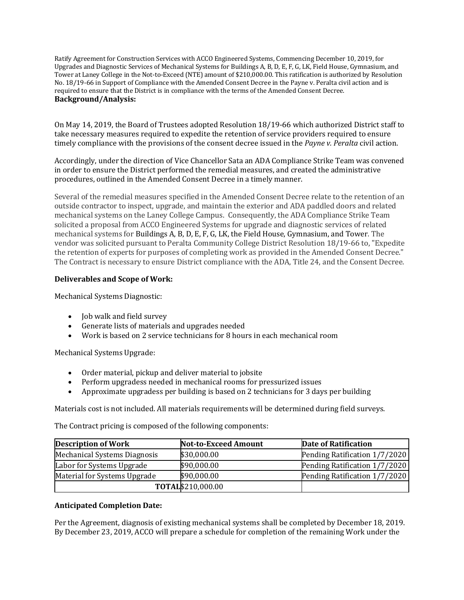Ratify Agreement for Construction Services with ACCO Engineered Systems, Commencing December 10, 2019, for Upgrades and Diagnostic Services of Mechanical Systems for Buildings A, B, D, E, F, G, LK, Field House, Gymnasium, and Tower at Laney College in the Not-to-Exceed (NTE) amount of  $$210,000.00$ . This ratification is authorized by Resolution No. 18/19-66 in Support of Compliance with the Amended Consent Decree in the Payne v. Peralta civil action and is required to ensure that the District is in compliance with the terms of the Amended Consent Decree. **Background/Analysis:**

On May 14, 2019, the Board of Trustees adopted Resolution 18/19-66 which authorized District staff to take necessary measures required to expedite the retention of service providers required to ensure timely compliance with the provisions of the consent decree issued in the *Payne v. Peralta* civil action.

Accordingly, under the direction of Vice Chancellor Sata an ADA Compliance Strike Team was convened in order to ensure the District performed the remedial measures, and created the administrative procedures, outlined in the Amended Consent Decree in a timely manner.

Several of the remedial measures specified in the Amended Consent Decree relate to the retention of an outside contractor to inspect, upgrade, and maintain the exterior and ADA paddled doors and related mechanical systems on the Laney College Campus. Consequently, the ADA Compliance Strike Team solicited a proposal from ACCO Engineered Systems for upgrade and diagnostic services of related mechanical systems for Buildings A, B, D, E, F, G, LK, the Field House, Gymnasium, and Tower. The vendor was solicited pursuant to Peralta Community College District Resolution 18/19-66 to, "Expedite the retention of experts for purposes of completing work as provided in the Amended Consent Decree." The Contract is necessary to ensure District compliance with the ADA, Title 24, and the Consent Decree.

# **Deliverables and Scope of Work:**

Mechanical Systems Diagnostic:

- Job walk and field survey
- Generate lists of materials and upgrades needed
- Work is based on 2 service technicians for 8 hours in each mechanical room

Mechanical Systems Upgrade:

- Order material, pickup and deliver material to jobsite
- Perform upgradess needed in mechanical rooms for pressurized issues
- Approximate upgradess per building is based on 2 technicians for 3 days per building

Materials cost is not included. All materials requirements will be determined during field surveys.

The Contract pricing is composed of the following components:

| <b>Description of Work</b>          | <b>Not-to-Exceed Amount</b> | Date of Ratification          |
|-------------------------------------|-----------------------------|-------------------------------|
| <b>Mechanical Systems Diagnosis</b> | \$30,000.00                 | Pending Ratification 1/7/2020 |
| Labor for Systems Upgrade           | \$90,000.00                 | Pending Ratification 1/7/2020 |
| Material for Systems Upgrade        | \$90,000.00                 | Pending Ratification 1/7/2020 |
|                                     | TOTAL\$210,000.00           |                               |

# **Anticipated Completion Date:**

Per the Agreement, diagnosis of existing mechanical systems shall be completed by December 18, 2019. By December 23, 2019, ACCO will prepare a schedule for completion of the remaining Work under the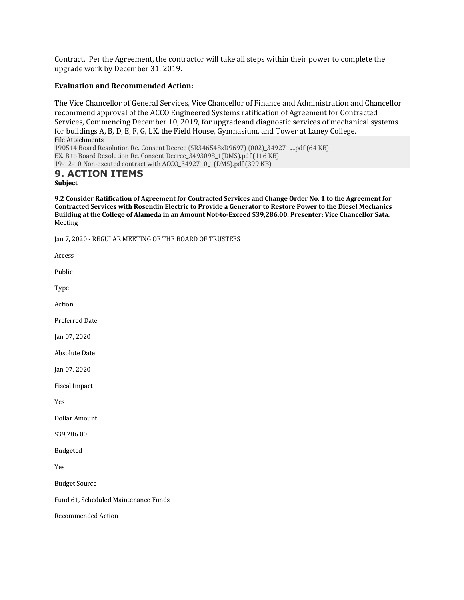Contract. Per the Agreement, the contractor will take all steps within their power to complete the upgrade work by December 31, 2019.

#### **Evaluation and Recommended Action:**

The Vice Chancellor of General Services, Vice Chancellor of Finance and Administration and Chancellor recommend approval of the ACCO Engineered Systems ratification of Agreement for Contracted Services, Commencing December 10, 2019, for upgradeand diagnostic services of mechanical systems for buildings A, B, D, E, F, G, LK, the Field House, Gymnasium, and Tower at Laney College. File Attachments 190514 Board Resolution Re. Consent Decree (SR346548xD9697) (002)\_349271....pdf (64 KB) EX. B to Board Resolution Re. Consent Decree\_3493098\_1(DMS).pdf (116 KB)

19-12-10 Non-excuted contract with ACCO\_3492710\_1(DMS).pdf (399 KB)

# **9. ACTION ITEMS**

**Subject**

**9.2 Consider Ratification of Agreement for Contracted Services and Change Order No. 1 to the Agreement for** Contracted Services with Rosendin Electric to Provide a Generator to Restore Power to the Diesel Mechanics Building at the College of Alameda in an Amount Not-to-Exceed \$39,286.00. Presenter: Vice Chancellor Sata. Meeting

Jan 7, 2020 - REGULAR MEETING OF THE BOARD OF TRUSTEES

Access

Public

Type

Action

Preferred Date

Jan 07, 2020

**Absolute Date** 

Jan 07, 2020

Fiscal Impact

Yes

Dollar Amount

\$39,286.00

Budgeted

Yes

**Budget Source** 

Fund 61, Scheduled Maintenance Funds

Recommended Action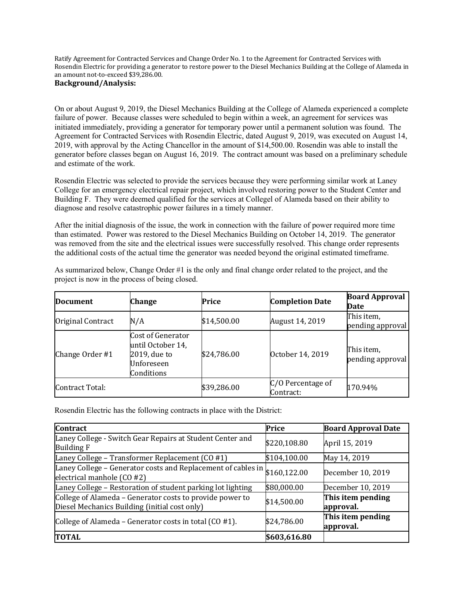Ratify Agreement for Contracted Services and Change Order No. 1 to the Agreement for Contracted Services with Rosendin Electric for providing a generator to restore power to the Diesel Mechanics Building at the College of Alameda in an amount not-to-exceed \$39,286.00.

# **Background/Analysis:**

On or about August 9, 2019, the Diesel Mechanics Building at the College of Alameda experienced a complete failure of power. Because classes were scheduled to begin within a week, an agreement for services was initiated immediately, providing a generator for temporary power until a permanent solution was found. The Agreement for Contracted Services with Rosendin Electric, dated August 9, 2019, was executed on August 14, 2019, with approval by the Acting Chancellor in the amount of \$14,500.00. Rosendin was able to install the generator before classes began on August 16, 2019. The contract amount was based on a preliminary schedule and estimate of the work.

Rosendin Electric was selected to provide the services because they were performing similar work at Laney College for an emergency electrical repair project, which involved restoring power to the Student Center and Building F. They were deemed qualified for the services at Collegel of Alameda based on their ability to diagnose and resolve catastrophic power failures in a timely manner.

After the initial diagnosis of the issue, the work in connection with the failure of power required more time than estimated. Power was restored to the Diesel Mechanics Building on October 14, 2019. The generator was removed from the site and the electrical issues were successfully resolved. This change order represents the additional costs of the actual time the generator was needed beyond the original estimated timeframe.

| <b>Document</b>   | Change                                                                             | Price       | <b>Completion Date</b>         | <b>Board Approval</b><br>Date  |
|-------------------|------------------------------------------------------------------------------------|-------------|--------------------------------|--------------------------------|
| Original Contract | N/A                                                                                | \$14,500.00 | August 14, 2019                | This item,<br>pending approval |
| Change Order #1   | Cost of Generator<br>until October 14,<br>2019, due to<br>Unforeseen<br>Conditions | \$24,786.00 | October 14, 2019               | This item,<br>pending approval |
| Contract Total:   |                                                                                    | \$39,286.00 | C/O Percentage of<br>Contract: | 170.94%                        |

As summarized below, Change Order #1 is the only and final change order related to the project, and the project is now in the process of being closed.

Rosendin Electric has the following contracts in place with the District:

| <b>Contract</b>                                                                                           | Price        | <b>Board Approval Date</b>     |
|-----------------------------------------------------------------------------------------------------------|--------------|--------------------------------|
| Laney College - Switch Gear Repairs at Student Center and<br><b>Building F</b>                            | \$220,108.80 | April 15, 2019                 |
| Laney College - Transformer Replacement (CO #1)                                                           | \$104,100.00 | May 14, 2019                   |
| Laney College – Generator costs and Replacement of cables in \$160,122.00<br>electrical manhole (CO #2)   |              | December 10, 2019              |
| Laney College - Restoration of student parking lot lighting                                               | \$80,000.00  | December 10, 2019              |
| College of Alameda - Generator costs to provide power to<br>Diesel Mechanics Building (initial cost only) | \$14,500.00  | This item pending<br>approval. |
| College of Alameda - Generator costs in total (CO #1).                                                    | \$24,786.00  | This item pending<br>approval. |
| <b>TOTAL</b>                                                                                              | \$603,616.80 |                                |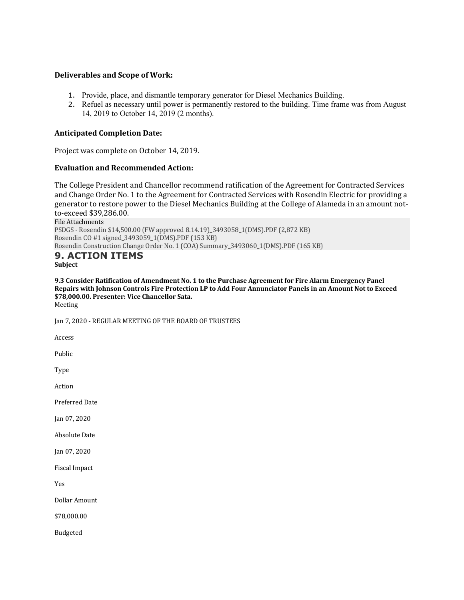#### **Deliverables and Scope of Work:**

- 1. Provide, place, and dismantle temporary generator for Diesel Mechanics Building.
- 2. Refuel as necessary until power is permanently restored to the building. Time frame was from August 14, 2019 to October 14, 2019 (2 months).

#### **Anticipated Completion Date:**

Project was complete on October 14, 2019.

#### **Evaluation and Recommended Action:**

The College President and Chancellor recommend ratification of the Agreement for Contracted Services and Change Order No. 1 to the Agreement for Contracted Services with Rosendin Electric for providing a generator to restore power to the Diesel Mechanics Building at the College of Alameda in an amount notto-exceed \$39,286.00.

File Attachments PSDGS - Rosendin \$14,500.00 (FW approved 8.14.19)\_3493058\_1(DMS).PDF (2,872 KB) Rosendin CO #1 signed\_3493059\_1(DMS).PDF (153 KB) Rosendin Construction Change Order No. 1 (COA) Summary\_3493060\_1(DMS).PDF (165 KB)

#### **9. ACTION ITEMS Subject**

**9.3** Consider Ratification of Amendment No. 1 to the Purchase Agreement for Fire Alarm Emergency Panel Repairs with Johnson Controls Fire Protection LP to Add Four Annunciator Panels in an Amount Not to Exceed **\$78,000.00. Presenter: Vice Chancellor Sata.** Meeting

Jan 7, 2020 - REGULAR MEETING OF THE BOARD OF TRUSTEES

Access

Public

Type

Action

Preferred Date

Jan 07, 2020

**Absolute Date** 

Jan 07, 2020

Fiscal Impact

Yes

Dollar Amount

\$78,000.00

Budgeted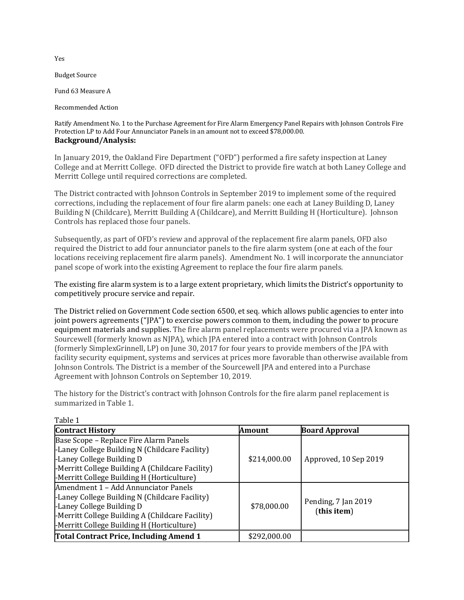**Budget Source** 

Fund 63 Measure A

Recommended Action

Ratify Amendment No. 1 to the Purchase Agreement for Fire Alarm Emergency Panel Repairs with Johnson Controls Fire Protection LP to Add Four Annunciator Panels in an amount not to exceed \$78,000.00. **Background/Analysis:**

In January 2019, the Oakland Fire Department ("OFD") performed a fire safety inspection at Laney College and at Merritt College. OFD directed the District to provide fire watch at both Laney College and Merritt College until required corrections are completed.

The District contracted with Johnson Controls in September 2019 to implement some of the required corrections, including the replacement of four fire alarm panels: one each at Laney Building D, Laney Building N (Childcare), Merritt Building A (Childcare), and Merritt Building H (Horticulture). Johnson Controls has replaced those four panels.

Subsequently, as part of OFD's review and approval of the replacement fire alarm panels, OFD also required the District to add four annunciator panels to the fire alarm system (one at each of the four locations receiving replacement fire alarm panels). Amendment No. 1 will incorporate the annunciator panel scope of work into the existing Agreement to replace the four fire alarm panels.

The existing fire alarm system is to a large extent proprietary, which limits the District's opportunity to competitively procure service and repair.

The District relied on Government Code section 6500, et seq. which allows public agencies to enter into joint powers agreements ("JPA") to exercise powers common to them, including the power to procure equipment materials and supplies. The fire alarm panel replacements were procured via a JPA known as Sourcewell (formerly known as NJPA), which JPA entered into a contract with Johnson Controls (formerly SimplexGrinnell, LP) on June 30, 2017 for four years to provide members of the JPA with facility security equipment, systems and services at prices more favorable than otherwise available from Johnson Controls. The District is a member of the Sourcewell JPA and entered into a Purchase Agreement with Johnson Controls on September 10, 2019.

The history for the District's contract with Johnson Controls for the fire alarm panel replacement is summarized in Table 1.

| rapie i                                                                                                                                                                                                                 |              |                                    |
|-------------------------------------------------------------------------------------------------------------------------------------------------------------------------------------------------------------------------|--------------|------------------------------------|
| <b>Contract History</b>                                                                                                                                                                                                 | Amount       | <b>Board Approval</b>              |
| Base Scope - Replace Fire Alarm Panels<br>-Laney College Building N (Childcare Facility)<br>-Laney College Building D<br>-Merritt College Building A (Childcare Facility)<br>-Merritt College Building H (Horticulture) | \$214,000.00 | Approved, 10 Sep 2019              |
| Amendment 1 - Add Annunciator Panels<br>-Laney College Building N (Childcare Facility)<br>-Laney College Building D<br>-Merritt College Building A (Childcare Facility)<br>-Merritt College Building H (Horticulture)   | \$78,000.00  | Pending, 7 Jan 2019<br>(this item) |
| Total Contract Price, Including Amend 1                                                                                                                                                                                 | \$292,000.00 |                                    |

Yes

 $T<sub>1</sub>$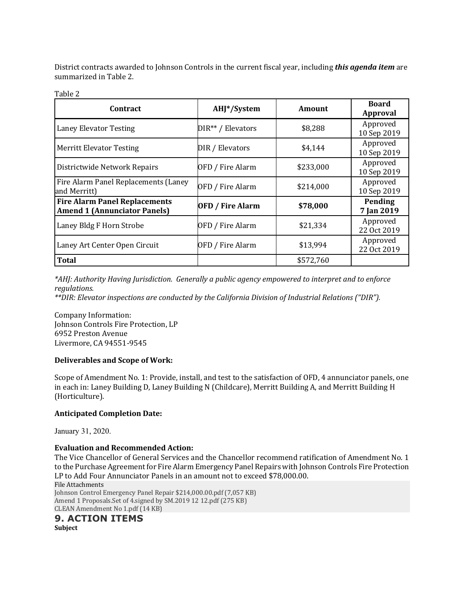District contracts awarded to Johnson Controls in the current fiscal year, including *this agenda item* are summarized in Table 2.

| ۰. | ۹ | ٧ |
|----|---|---|
|    |   |   |

| <b>Contract</b>                                                             | AHJ*/System             | Amount    | <b>Board</b><br><b>Approval</b> |
|-----------------------------------------------------------------------------|-------------------------|-----------|---------------------------------|
| <b>Laney Elevator Testing</b>                                               | DIR** / Elevators       | \$8,288   | Approved<br>10 Sep 2019         |
| <b>Merritt Elevator Testing</b>                                             | DIR / Elevators         | \$4,144   | Approved<br>10 Sep 2019         |
| Districtwide Network Repairs                                                | OFD / Fire Alarm        | \$233,000 | Approved<br>10 Sep 2019         |
| Fire Alarm Panel Replacements (Laney<br>and Merritt)                        | OFD / Fire Alarm        | \$214,000 | Approved<br>10 Sep 2019         |
| <b>Fire Alarm Panel Replacements</b><br><b>Amend 1 (Annunciator Panels)</b> | <b>OFD / Fire Alarm</b> | \$78,000  | Pending<br>7 Jan 2019           |
| Laney Bldg F Horn Strobe                                                    | OFD / Fire Alarm        | \$21,334  | Approved<br>22 Oct 2019         |
| Laney Art Center Open Circuit                                               | OFD / Fire Alarm        | \$13,994  | Approved<br>22 Oct 2019         |
| <b>Total</b>                                                                |                         | \$572,760 |                                 |

*\*AHJ: Authority Having Jurisdiction. Generally a public agency empowered to interpret and to enforce regulations.*

*\*\*DIR: Elevator inspections are conducted by the California Division of Industrial Relations ("DIR").*

Company Information: Johnson Controls Fire Protection, LP 6952 Preston Avenue Livermore, CA 94551-9545

# **Deliverables and Scope of Work:**

Scope of Amendment No. 1: Provide, install, and test to the satisfaction of OFD, 4 annunciator panels, one in each in: Laney Building D, Laney Building N (Childcare), Merritt Building A, and Merritt Building H (Horticulture).

# **Anticipated Completion Date:**

January 31, 2020.

# **Evaluation and Recommended Action:**

The Vice Chancellor of General Services and the Chancellor recommend ratification of Amendment No. 1 to the Purchase Agreement for Fire Alarm Emergency Panel Repairs with Johnson Controls Fire Protection LP to Add Four Annunciator Panels in an amount not to exceed \$78,000.00.

File Attachments Johnson Control Emergency Panel Repair \$214,000.00.pdf (7,057 KB) Amend 1 Proposals.Set of 4.signed by SM.2019 12 12.pdf (275 KB) CLEAN Amendment No 1.pdf (14 KB)

# **9. ACTION ITEMS**

**Subject**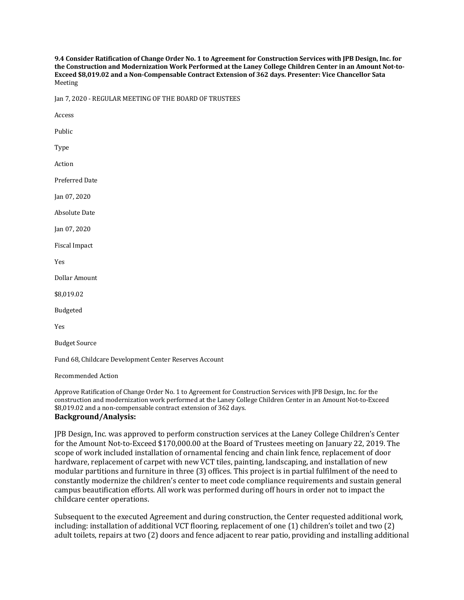9.4 Consider Ratification of Change Order No. 1 to Agreement for Construction Services with [PB Design, Inc. for the Construction and Modernization Work Performed at the Laney College Children Center in an Amount Not-to-Exceed \$8,019.02 and a Non-Compensable Contract Extension of 362 days. Presenter: Vice Chancellor Sata Meeting

Jan 7, 2020 - REGULAR MEETING OF THE BOARD OF TRUSTEES

Access

Public

Type

Action

Preferred Date

Jan 07, 2020

**Absolute Date** 

Jan 07, 2020

Fiscal Impact

Yes

Dollar Amount

\$8,019.02

Budgeted

Yes

**Budget Source** 

Fund 68, Childcare Development Center Reserves Account

Recommended Action

Approve Ratification of Change Order No. 1 to Agreement for Construction Services with JPB Design, Inc. for the construction and modernization work performed at the Laney College Children Center in an Amount Not-to-Exceed \$8,019.02 and a non-compensable contract extension of 362 days. **Background/Analysis:**

JPB Design, Inc. was approved to perform construction services at the Laney College Children's Center for the Amount Not-to-Exceed \$170,000.00 at the Board of Trustees meeting on January 22, 2019. The scope of work included installation of ornamental fencing and chain link fence, replacement of door hardware, replacement of carpet with new VCT tiles, painting, landscaping, and installation of new modular partitions and furniture in three (3) offices. This project is in partial fulfilment of the need to constantly modernize the children's center to meet code compliance requirements and sustain general campus beautification efforts. All work was performed during off hours in order not to impact the childcare center operations.

Subsequent to the executed Agreement and during construction, the Center requested additional work, including: installation of additional VCT flooring, replacement of one (1) children's toilet and two (2) adult toilets, repairs at two (2) doors and fence adjacent to rear patio, providing and installing additional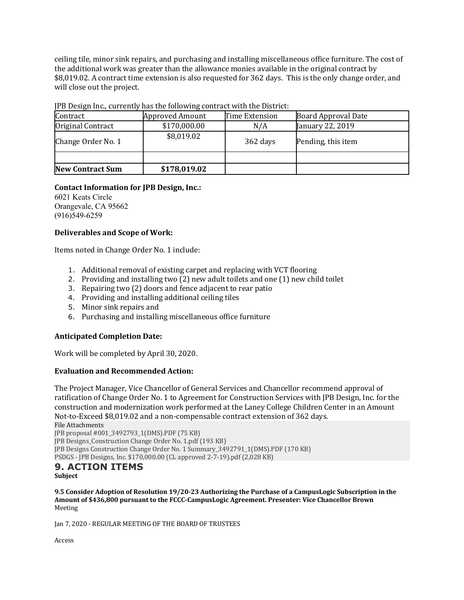ceiling tile, minor sink repairs, and purchasing and installing miscellaneous office furniture. The cost of the additional work was greater than the allowance monies available in the original contract by \$8,019.02. A contract time extension is also requested for 362 days. This is the only change order, and will close out the project.

| Contract                | <b>Approved Amount</b> | Time Extension | <b>Board Approval Date</b> |
|-------------------------|------------------------|----------------|----------------------------|
| Original Contract       | \$170,000.00           | N/A            | January 22, 2019           |
| Change Order No. 1      | \$8,019.02             | 362 days       | Pending, this item         |
|                         |                        |                |                            |
| <b>New Contract Sum</b> | \$178,019.02           |                |                            |

#### JPB Design Inc., currently has the following contract with the District:

# **Contact Information for JPB Design, Inc.:**

6021 Keats Circle Orangevale, CA 95662 (916)549-6259

# **Deliverables and Scope of Work:**

Items noted in Change Order No. 1 include:

- 1. Additional removal of existing carpet and replacing with VCT flooring
- 2. Providing and installing two (2) new adult toilets and one (1) new child toilet
- 3. Repairing two (2) doors and fence adjacent to rear patio
- 4. Providing and installing additional ceiling tiles
- 5. Minor sink repairs and
- 6. Purchasing and installing miscellaneous office furniture

# **Anticipated Completion Date:**

Work will be completed by April 30, 2020.

# **Evaluation and Recommended Action:**

The Project Manager, Vice Chancellor of General Services and Chancellor recommend approval of ratification of Change Order No. 1 to Agreement for Construction Services with JPB Design, Inc. for the construction and modernization work performed at the Laney College Children Center in an Amount Not-to-Exceed \$8,019.02 and a non-compensable contract extension of 362 days.

File Attachments JPB proposal #001\_3492793\_1(DMS).PDF (75 KB) JPB Designs\_Construction Change Order No. 1.pdf (193 KB) JPB Designs Construction Change Order No. 1 Summary\_3492791\_1(DMS).PDF (170 KB) PSDGS - JPB Designs, Inc. \$170,000.00 (CL approved 2-7-19).pdf (2,028 KB)

#### **9. ACTION ITEMS Subject**

**9.5** Consider Adoption of Resolution 19/20-23 Authorizing the Purchase of a CampusLogic Subscription in the Amount of \$436,800 pursuant to the FCCC-CampusLogic Agreement. Presenter: Vice Chancellor Brown Meeting

Jan 7, 2020 - REGULAR MEETING OF THE BOARD OF TRUSTEES

Access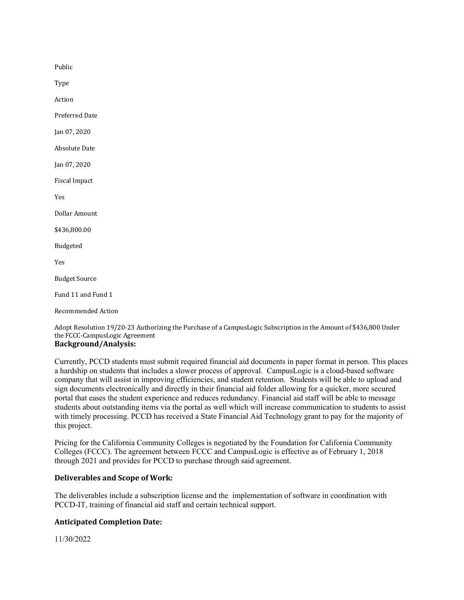Public

Type

Action

Preferred Date

Jan 07, 2020

**Absolute Date** 

Jan 07, 2020

Fiscal Impact

Yes

Dollar Amount

\$436,800.00

Budgeted

Yes

**Budget Source** 

Fund 11 and Fund 1

Recommended Action

Adopt Resolution 19/20-23 Authorizing the Purchase of a CampusLogic Subscription in the Amount of \$436,800 Under the FCCC-CampusLogic Agreement

# **Background/Analysis:**

Currently, PCCD students must submit required financial aid documents in paper format in person. This places a hardship on students that includes a slower process of approval. CampusLogic is a cloud-based software company that will assist in improving efficiencies, and student retention. Students will be able to upload and sign documents electronically and directly in their financial aid folder allowing for a quicker, more secured portal that eases the student experience and reduces redundancy. Financial aid staff will be able to message students about outstanding items via the portal as well which will increase communication to students to assist with timely processing. PCCD has received a State Financial Aid Technology grant to pay for the majority of this project.

Pricing for the California Community Colleges is negotiated by the Foundation for California Community Colleges (FCCC). The agreement between FCCC and CampusLogic is effective as of February 1, 2018 through 2021 and provides for PCCD to purchase through said agreement.

#### **Deliverables and Scope of Work:**

The deliverables include a subscription license and the implementation of software in coordination with PCCD-IT, training of financial aid staff and certain technical support.

#### **Anticipated Completion Date:**

11/30/2022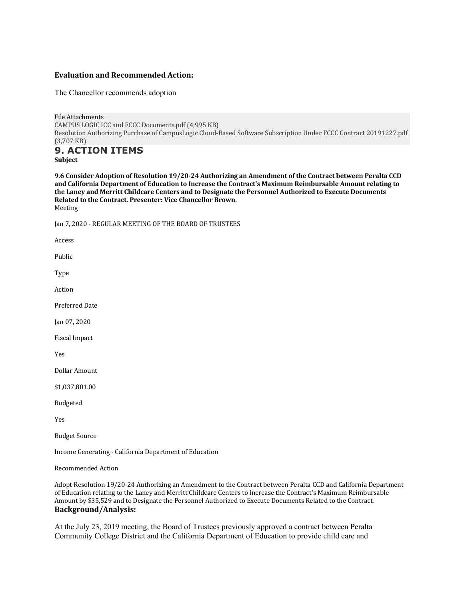#### **Evaluation and Recommended Action:**

The Chancellor recommends adoption

File Attachments CAMPUS LOGIC ICC and FCCC Documents.pdf (4,995 KB) Resolution Authorizing Purchase of CampusLogic Cloud-Based Software Subscription Under FCCC Contract 20191227.pdf (3,707 KB)

#### **9. ACTION ITEMS Subject**

9.6 Consider Adoption of Resolution 19/20-24 Authorizing an Amendment of the Contract between Peralta CCD and California Department of Education to Increase the Contract's Maximum Reimbursable Amount relating to the Laney and Merritt Childcare Centers and to Designate the Personnel Authorized to Execute Documents Related to the Contract. Presenter: Vice Chancellor Brown. Meeting

Jan 7, 2020 - REGULAR MEETING OF THE BOARD OF TRUSTEES

Access

Public

Type

Action

Preferred Date

Jan 07, 2020

Fiscal Impact

Yes

Dollar Amount

\$1,037,801.00

Budgeted

Yes

**Budget Source** 

Income Generating - California Department of Education

Recommended Action

Adopt Resolution 19/20-24 Authorizing an Amendment to the Contract between Peralta CCD and California Department of Education relating to the Laney and Merritt Childcare Centers to Increase the Contract's Maximum Reimbursable Amount by \$35,529 and to Designate the Personnel Authorized to Execute Documents Related to the Contract. **Background/Analysis:**

At the July 23, 2019 meeting, the Board of Trustees previously approved a contract between Peralta Community College District and the California Department of Education to provide child care and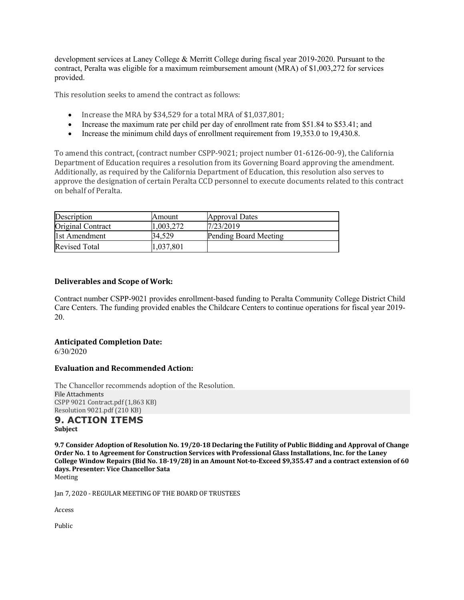development services at Laney College & Merritt College during fiscal year 2019-2020. Pursuant to the contract, Peralta was eligible for a maximum reimbursement amount (MRA) of \$1,003,272 for services provided.

This resolution seeks to amend the contract as follows:

- Increase the MRA by \$34,529 for a total MRA of \$1,037,801;
- Increase the maximum rate per child per day of enrollment rate from \$51.84 to \$53.41; and
- Increase the minimum child days of enrollment requirement from 19,353.0 to 19,430.8.

To amend this contract, (contract number CSPP-9021; project number 01-6126-00-9), the California Department of Education requires a resolution from its Governing Board approving the amendment. Additionally, as required by the California Department of Education, this resolution also serves to approve the designation of certain Peralta CCD personnel to execute documents related to this contract on behalf of Peralta.

| Description          | Amount    | Approval Dates        |
|----------------------|-----------|-----------------------|
| Original Contract    | 1.003.272 | 17/23/2019            |
| Itst Amendment       | 34.529    | Pending Board Meeting |
| <b>Revised Total</b> | 1,037,801 |                       |

#### **Deliverables and Scope of Work:**

Contract number CSPP-9021 provides enrollment-based funding to Peralta Community College District Child Care Centers. The funding provided enables the Childcare Centers to continue operations for fiscal year 2019- 20.

# **Anticipated Completion Date:**

6/30/2020

#### **Evaluation and Recommended Action:**

The Chancellor recommends adoption of the Resolution. File Attachments CSPP 9021 Contract.pdf (1,863 KB) Resolution 9021.pdf (210 KB)

#### **9. ACTION ITEMS Subject**

9.7 Consider Adoption of Resolution No. 19/20-18 Declaring the Futility of Public Bidding and Approval of Change Order No. 1 to Agreement for Construction Services with Professional Glass Installations, Inc. for the Laney College Window Repairs (Bid No. 18-19/28) in an Amount Not-to-Exceed \$9,355.47 and a contract extension of 60 **days. Presenter: Vice Chancellor Sata** Meeting

Jan 7, 2020 - REGULAR MEETING OF THE BOARD OF TRUSTEES

Access

Public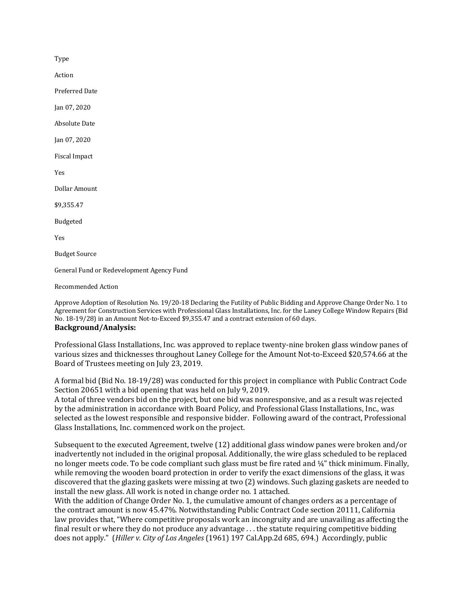Type

Action

Preferred Date

Jan 07, 2020

**Absolute Date** 

Jan 07, 2020

Fiscal Impact

Yes

Dollar Amount

\$9,355.47

Budgeted

Yes

**Budget Source** 

General Fund or Redevelopment Agency Fund

Recommended Action

Approve Adoption of Resolution No. 19/20-18 Declaring the Futility of Public Bidding and Approve Change Order No. 1 to Agreement for Construction Services with Professional Glass Installations, Inc. for the Laney College Window Repairs (Bid No. 18-19/28) in an Amount Not-to-Exceed \$9,355.47 and a contract extension of 60 days. **Background/Analysis:**

Professional Glass Installations, Inc. was approved to replace twenty-nine broken glass window panes of various sizes and thicknesses throughout Laney College for the Amount Not-to-Exceed \$20,574.66 at the Board of Trustees meeting on July 23, 2019.

A formal bid (Bid No. 18-19/28) was conducted for this project in compliance with Public Contract Code Section 20651 with a bid opening that was held on July 9, 2019.

A total of three vendors bid on the project, but one bid was nonresponsive, and as a result was rejected by the administration in accordance with Board Policy, and Professional Glass Installations, Inc., was selected as the lowest responsible and responsive bidder. Following award of the contract, Professional Glass Installations, Inc. commenced work on the project.

Subsequent to the executed Agreement, twelve (12) additional glass window panes were broken and/or inadvertently not included in the original proposal. Additionally, the wire glass scheduled to be replaced no longer meets code. To be code compliant such glass must be fire rated and ¼" thick minimum. Finally, while removing the wooden board protection in order to verify the exact dimensions of the glass, it was discovered that the glazing gaskets were missing at two (2) windows. Such glazing gaskets are needed to install the new glass. All work is noted in change order no. 1 attached.

With the addition of Change Order No. 1, the cumulative amount of changes orders as a percentage of the contract amount is now 45.47%. Notwithstanding Public Contract Code section 20111, California law provides that, "Where competitive proposals work an incongruity and are unavailing as affecting the final result or where they do not produce any advantage . . . the statute requiring competitive bidding does not apply." (*Hiller v. City of Los Angeles* (1961) 197 Cal.App.2d 685, 694.) Accordingly, public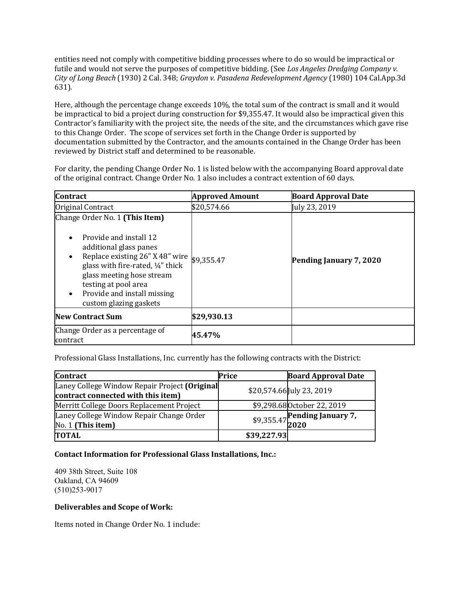entities need not comply with competitive bidding processes where to do so would be impractical or futile and would not serve the purposes of competitive bidding. (See *Los Angeles Dredging Company v. City of Long Beach* (1930) 2 Cal. 348; *Graydon v. Pasadena Redevelopment Agency* (1980) 104 Cal.App.3d 631).

Here, although the percentage change exceeds 10%, the total sum of the contract is small and it would be impractical to bid a project during construction for \$9,355.47. It would also be impractical given this Contractor's familiarity with the project site, the needs of the site, and the circumstances which gave rise to this Change Order. The scope of services set forth in the Change Order is supported by documentation submitted by the Contractor, and the amounts contained in the Change Order has been reviewed by District staff and determined to be reasonable.

For clarity, the pending Change Order No. 1 is listed below with the accompanying Board approval date of the original contract. Change Order No. 1 also includes a contract extention of 60 days.

| <b>Contract</b>                                                                                                                                                                                                                                                                                   | <b>Approved Amount</b> | <b>Board Approval Date</b> |
|---------------------------------------------------------------------------------------------------------------------------------------------------------------------------------------------------------------------------------------------------------------------------------------------------|------------------------|----------------------------|
| Original Contract                                                                                                                                                                                                                                                                                 | \$20,574.66            | July 23, 2019              |
| Change Order No. 1 (This Item)<br>Provide and install 12<br>additional glass panes<br>Replace existing 26" X 48" wire $$9,355.47$<br>$\bullet$<br>glass with fire-rated, 1/4" thick<br>glass meeting hose stream<br>testing at pool area<br>Provide and install missing<br>custom glazing gaskets |                        | Pending January 7, 2020    |
| <b>New Contract Sum</b>                                                                                                                                                                                                                                                                           | \$29,930.13            |                            |
| Change Order as a percentage of<br>contract                                                                                                                                                                                                                                                       | 45.47%                 |                            |

Professional Glass Installations, Inc. currently has the following contracts with the District:

| <b>Contract</b>                                                                     | Price       | <b>Board Approval Date</b>           |
|-------------------------------------------------------------------------------------|-------------|--------------------------------------|
| Laney College Window Repair Project (Original<br>contract connected with this item) |             | \$20,574.66 July 23, 2019            |
| Merritt College Doors Replacement Project                                           |             | \$9,298.68 October 22, 2019          |
| Laney College Window Repair Change Order<br>No. 1 (This item)                       |             | \$9,355.47 Pending January 7, $2020$ |
| <b>TOTAL</b>                                                                        | \$39,227.93 |                                      |

# **Contact Information for Professional Glass Installations, Inc.:**

409 38th Street, Suite 108 Oakland, CA 94609 (510)253-9017

# **Deliverables and Scope of Work:**

Items noted in Change Order No. 1 include: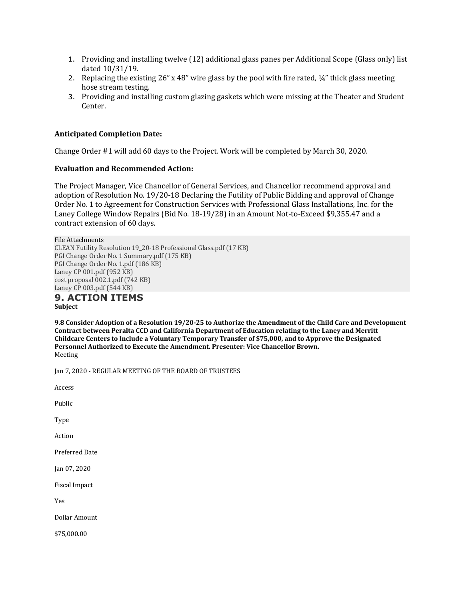- 1. Providing and installing twelve (12) additional glass panes per Additional Scope (Glass only) list dated 10/31/19.
- 2. Replacing the existing 26" x 48" wire glass by the pool with fire rated,  $\frac{1}{4}$ " thick glass meeting hose stream testing.
- 3. Providing and installing custom glazing gaskets which were missing at the Theater and Student Center.

#### **Anticipated Completion Date:**

Change Order #1 will add 60 days to the Project. Work will be completed by March 30, 2020.

#### **Evaluation and Recommended Action:**

The Project Manager, Vice Chancellor of General Services, and Chancellor recommend approval and adoption of Resolution No. 19/20-18 Declaring the Futility of Public Bidding and approval of Change Order No. 1 to Agreement for Construction Services with Professional Glass Installations, Inc. for the Laney College Window Repairs (Bid No. 18-19/28) in an Amount Not-to-Exceed \$9,355.47 and a contract extension of 60 days.

File Attachments CLEAN Futility Resolution 19\_20-18 Professional Glass.pdf (17 KB) PGI Change Order No. 1 Summary.pdf (175 KB) PGI Change Order No. 1.pdf (186 KB) Laney CP 001.pdf (952 KB) cost proposal 002.1.pdf (742 KB) Laney CP 003.pdf (544 KB) **9. ACTION ITEMS**

**Subject**

**9.8 Consider Adoption of a Resolution 19/20-25 to Authorize the Amendment of the Child Care and Development** Contract between Peralta CCD and California Department of Education relating to the Laney and Merritt Childcare Centers to Include a Voluntary Temporary Transfer of \$75,000, and to Approve the Designated Personnel Authorized to Execute the Amendment. Presenter: Vice Chancellor Brown. Meeting

Jan 7, 2020 - REGULAR MEETING OF THE BOARD OF TRUSTEES

Access

Public

Type

Action

Preferred Date

Jan 07, 2020

Fiscal Impact

Yes

Dollar Amount

\$75,000.00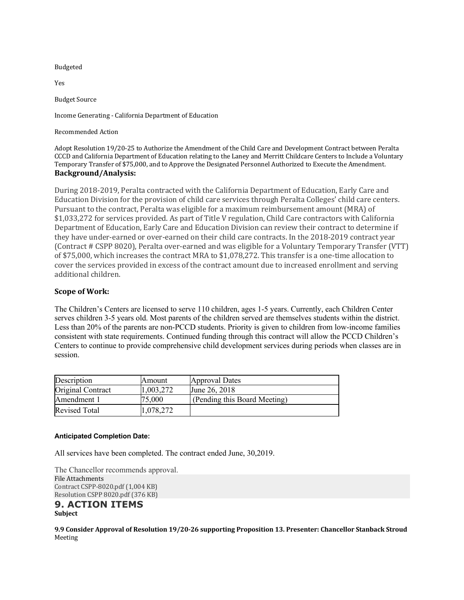#### Budgeted

Yes

**Budget Source** 

Income Generating - California Department of Education

Recommended Action

Adopt Resolution 19/20-25 to Authorize the Amendment of the Child Care and Development Contract between Peralta CCCD and California Department of Education relating to the Laney and Merritt Childcare Centers to Include a Voluntary Temporary Transfer of \$75,000, and to Approve the Designated Personnel Authorized to Execute the Amendment. **Background/Analysis:**

During 2018-2019, Peralta contracted with the California Department of Education, Early Care and Education Division for the provision of child care services through Peralta Colleges' child care centers. Pursuant to the contract, Peralta was eligible for a maximum reimbursement amount (MRA) of \$1,033,272 for services provided. As part of Title V regulation, Child Care contractors with California Department of Education, Early Care and Education Division can review their contract to determine if they have under-earned or over-earned on their child care contracts. In the 2018-2019 contract year (Contract # CSPP 8020), Peralta over-earned and was eligible for a Voluntary Temporary Transfer (VTT) of \$75,000, which increases the contract MRA to \$1,078,272. This transfer is a one-time allocation to cover the services provided in excess of the contract amount due to increased enrollment and serving additional children.

#### **Scope of Work:**

The Children's Centers are licensed to serve 110 children, ages 1-5 years. Currently, each Children Center serves children 3-5 years old. Most parents of the children served are themselves students within the district. Less than 20% of the parents are non-PCCD students. Priority is given to children from low-income families consistent with state requirements. Continued funding through this contract will allow the PCCD Children's Centers to continue to provide comprehensive child development services during periods when classes are in session.

| Description          | Amount    | Approval Dates               |
|----------------------|-----------|------------------------------|
| Original Contract    | 1,003,272 | June 26, 2018                |
| Amendment 1          | 75,000    | (Pending this Board Meeting) |
| <b>Revised Total</b> | 1,078,272 |                              |

#### **Anticipated Completion Date:**

All services have been completed. The contract ended June, 30,2019.

The Chancellor recommends approval. File Attachments Contract CSPP-8020.pdf (1,004 KB) Resolution CSPP 8020.pdf (376 KB)

#### **9. ACTION ITEMS Subject**

**9.9 Consider Approval of Resolution 19/20-26 supporting Proposition 13. Presenter: Chancellor Stanback Stroud** Meeting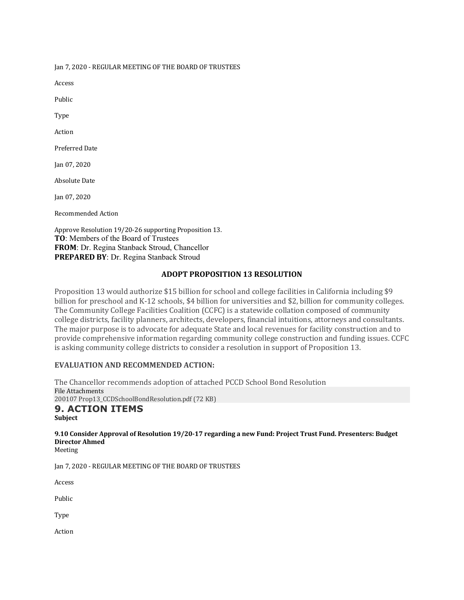Jan 7, 2020 - REGULAR MEETING OF THE BOARD OF TRUSTEES

Access

Public

Type

Action

Preferred Date

Jan 07, 2020

**Absolute Date** 

Jan 07, 2020

Recommended Action

Approve Resolution 19/20-26 supporting Proposition 13. **TO**: Members of the Board of Trustees **FROM**: Dr. Regina Stanback Stroud, Chancellor **PREPARED BY**: Dr. Regina Stanback Stroud

#### **ADOPT PROPOSITION 13 RESOLUTION**

Proposition 13 would authorize \$15 billion for school and college facilities in California including \$9 billion for preschool and K-12 schools, \$4 billion for universities and \$2, billion for community colleges. The Community College Facilities Coalition (CCFC) is a statewide collation composed of community college districts, facility planners, architects, developers, financial intuitions, attorneys and consultants. The major purpose is to advocate for adequate State and local revenues for facility construction and to provide comprehensive information regarding community college construction and funding issues. CCFC is asking community college districts to consider a resolution in support of Proposition 13.

#### **EVALUATION AND RECOMMENDED ACTION:**

The Chancellor recommends adoption of attached PCCD School Bond Resolution File Attachments 200107 Prop13\_CCDSchoolBondResolution.pdf (72 KB) **9. ACTION ITEMS Subject**

# 9.10 Consider Approval of Resolution 19/20-17 regarding a new Fund: Project Trust Fund. Presenters: Budget **Director Ahmed**

Meeting

Jan 7, 2020 - REGULAR MEETING OF THE BOARD OF TRUSTEES

Access

Public

Type

Action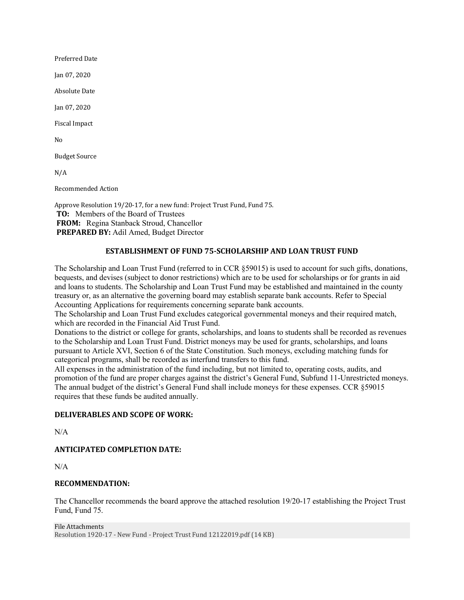Preferred Date

Jan 07, 2020

Absolute Date

Jan 07, 2020

Fiscal Impact

No

**Budget Source** 

 $N/A$ 

Recommended Action

Approve Resolution 19/20-17, for a new fund: Project Trust Fund, Fund 75. **TO:** Members of the Board of Trustees **FROM:** Regina Stanback Stroud, Chancellor **PREPARED BY:** Adil Amed, Budget Director

# **ESTABLISHMENT OF FUND 75-SCHOLARSHIP AND LOAN TRUST FUND**

The Scholarship and Loan Trust Fund (referred to in CCR §59015) is used to account for such gifts, donations, bequests, and devises (subject to donor restrictions) which are to be used for scholarships or for grants in aid and loans to students. The Scholarship and Loan Trust Fund may be established and maintained in the county treasury or, as an alternative the governing board may establish separate bank accounts. Refer to Special Accounting Applications for requirements concerning separate bank accounts.

The Scholarship and Loan Trust Fund excludes categorical governmental moneys and their required match, which are recorded in the Financial Aid Trust Fund.

Donations to the district or college for grants, scholarships, and loans to students shall be recorded as revenues to the Scholarship and Loan Trust Fund. District moneys may be used for grants, scholarships, and loans pursuant to Article XVI, Section 6 of the State Constitution. Such moneys, excluding matching funds for categorical programs, shall be recorded as interfund transfers to this fund.

All expenses in the administration of the fund including, but not limited to, operating costs, audits, and promotion of the fund are proper charges against the district's General Fund, Subfund 11-Unrestricted moneys. The annual budget of the district's General Fund shall include moneys for these expenses. CCR §59015 requires that these funds be audited annually.

# **DELIVERABLES AND SCOPE OF WORK:**

N/A

# **ANTICIPATED COMPLETION DATE:**

N/A

#### **RECOMMENDATION:**

The Chancellor recommends the board approve the attached resolution 19/20-17 establishing the Project Trust Fund, Fund 75.

File Attachments Resolution 1920-17 - New Fund - Project Trust Fund 12122019.pdf (14 KB)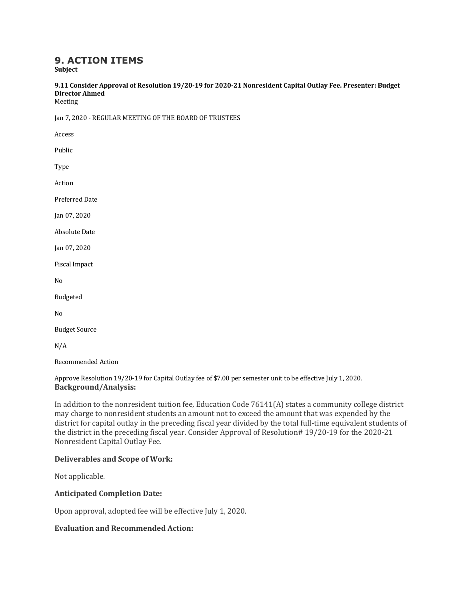# **9. ACTION ITEMS**

**Subject**

9.11 Consider Approval of Resolution 19/20-19 for 2020-21 Nonresident Capital Outlay Fee. Presenter: Budget **Director Ahmed**

Meeting

Jan 7, 2020 - REGULAR MEETING OF THE BOARD OF TRUSTEES

Access

Public

Type

Action

Preferred Date

Jan 07, 2020

**Absolute Date** 

Jan 07, 2020

Fiscal Impact

No

Budgeted

No

**Budget Source** 

N/A

Recommended Action

#### Approve Resolution 19/20-19 for Capital Outlay fee of \$7.00 per semester unit to be effective July 1, 2020. **Background/Analysis:**

In addition to the nonresident tuition fee, Education Code 76141(A) states a community college district may charge to nonresident students an amount not to exceed the amount that was expended by the district for capital outlay in the preceding fiscal year divided by the total full-time equivalent students of the district in the preceding fiscal year. Consider Approval of Resolution# 19/20-19 for the 2020-21 Nonresident Capital Outlay Fee.

# **Deliverables and Scope of Work:**

Not applicable.

#### **Anticipated Completion Date:**

Upon approval, adopted fee will be effective July 1, 2020.

#### **Evaluation and Recommended Action:**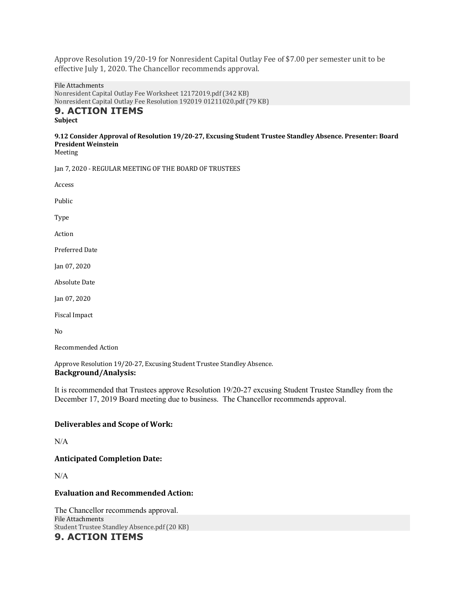Approve Resolution 19/20-19 for Nonresident Capital Outlay Fee of \$7.00 per semester unit to be effective July 1, 2020. The Chancellor recommends approval.

File Attachments Nonresident Capital Outlay Fee Worksheet 12172019.pdf (342 KB) Nonresident Capital Outlay Fee Resolution 192019 01211020.pdf (79 KB)

# **9. ACTION ITEMS**

**Subject**

# 9.12 Consider Approval of Resolution 19/20-27, Excusing Student Trustee Standley Absence. Presenter: Board **President Weinstein**

Meeting

Jan 7, 2020 - REGULAR MEETING OF THE BOARD OF TRUSTEES

Access

Public

Type

Action

Preferred Date

Jan 07, 2020

**Absolute Date** 

Jan 07, 2020

Fiscal Impact

No

Recommended Action

Approve Resolution 19/20-27, Excusing Student Trustee Standley Absence. **Background/Analysis:**

It is recommended that Trustees approve Resolution 19/20-27 excusing Student Trustee Standley from the December 17, 2019 Board meeting due to business. The Chancellor recommends approval.

#### **Deliverables and Scope of Work:**

N/A

# **Anticipated Completion Date:**

N/A

#### **Evaluation and Recommended Action:**

The Chancellor recommends approval. File Attachments Student Trustee Standley Absence.pdf (20 KB) **9. ACTION ITEMS**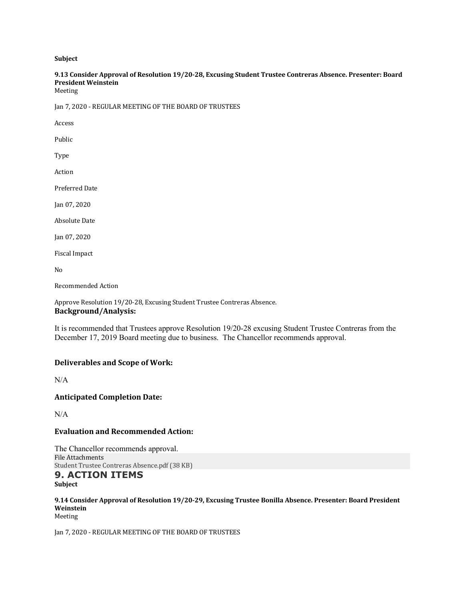**Subject**

# 9.13 Consider Approval of Resolution 19/20-28, Excusing Student Trustee Contreras Absence. Presenter: Board **President Weinstein**

Meeting

Jan 7, 2020 - REGULAR MEETING OF THE BOARD OF TRUSTEES

Access

Public

Type

Action

Preferred Date

Jan 07, 2020

Absolute Date

Jan 07, 2020

Fiscal Impact

No

Recommended Action

Approve Resolution 19/20-28, Excusing Student Trustee Contreras Absence. **Background/Analysis:**

It is recommended that Trustees approve Resolution 19/20-28 excusing Student Trustee Contreras from the December 17, 2019 Board meeting due to business. The Chancellor recommends approval.

#### **Deliverables and Scope of Work:**

N/A

**Anticipated Completion Date:**

 $N/A$ 

#### **Evaluation and Recommended Action:**

The Chancellor recommends approval. File Attachments Student Trustee Contreras Absence.pdf (38 KB)

#### **9. ACTION ITEMS Subject**

9.14 Consider Approval of Resolution 19/20-29, Excusing Trustee Bonilla Absence. Presenter: Board President **Weinstein** Meeting

Jan 7, 2020 - REGULAR MEETING OF THE BOARD OF TRUSTEES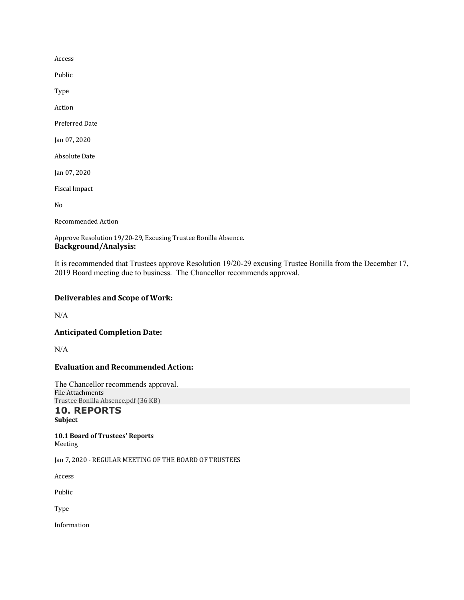Access

Public

Type

Action

Preferred Date

Jan 07, 2020

**Absolute Date** 

Jan 07, 2020

Fiscal Impact

No

Recommended Action

Approve Resolution 19/20-29, Excusing Trustee Bonilla Absence. **Background/Analysis:**

It is recommended that Trustees approve Resolution 19/20-29 excusing Trustee Bonilla from the December 17, 2019 Board meeting due to business. The Chancellor recommends approval.

# **Deliverables and Scope of Work:**

N/A

**Anticipated Completion Date:**

N/A

# **Evaluation and Recommended Action:**

The Chancellor recommends approval. File Attachments Trustee Bonilla Absence.pdf (36 KB)

#### **10. REPORTS Subject**

**10.1 Board of Trustees' Reports** Meeting

Jan 7, 2020 - REGULAR MEETING OF THE BOARD OF TRUSTEES

Access

Public

Type

Information